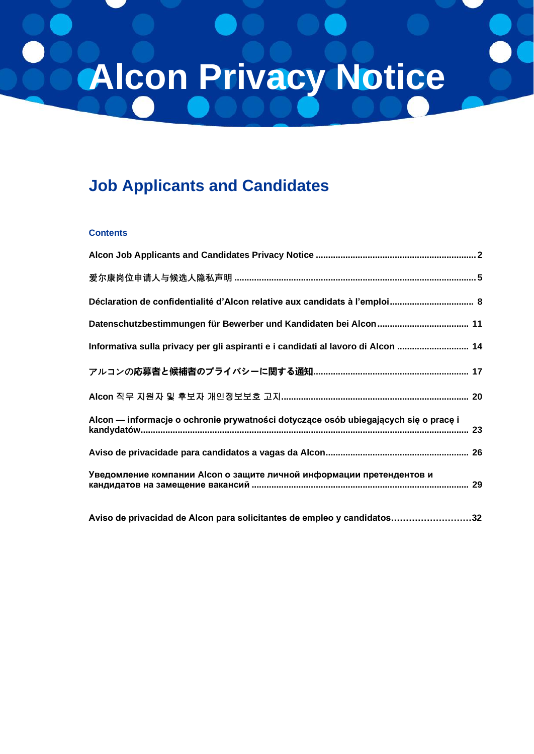# **Alcon Privacy Notice**

# **Job Applicants and Candidates**

#### **Contents**

| Déclaration de confidentialité d'Alcon relative aux candidats à l'emploi 8                |
|-------------------------------------------------------------------------------------------|
|                                                                                           |
| Informativa sulla privacy per gli aspiranti e i candidati al lavoro di Alcon  14          |
|                                                                                           |
|                                                                                           |
| Alcon — informacje o ochronie prywatności dotyczące osób ubiegających się o pracę i<br>23 |
|                                                                                           |
| Уведомление компании Alcon о защите личной информации претендентов и                      |
| Aviso de privacidad de Alcon para solicitantes de empleo y candidatos32                   |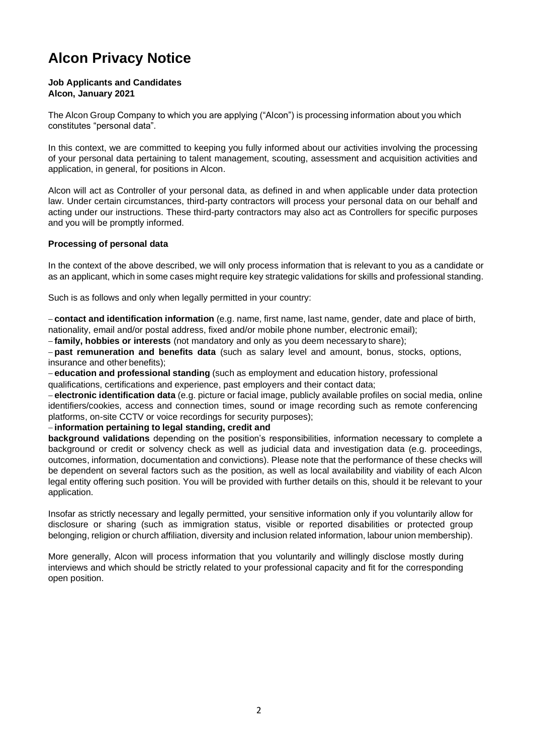# <span id="page-1-0"></span>**Alcon Privacy Notice**

#### **Job Applicants and Candidates Alcon, January 2021**

[The Alcon Group](https://www.novartis.com/about-us/contact/office-locations) [Company to which you are applying \("Alcon"\) is](https://www.novartis.com/about-us/contact/office-locations) processing information about you which constitutes "personal data".

In this context, we are committed to keeping you fully informed about our activities involving the processing of your personal data pertaining to talent management, scouting, assessment and acquisition activities and application, in general, for positions in Alcon.

Alcon will act as Controller of your personal data, as defined in and when applicable under data protection law. Under certain circumstances, third-party contractors will process your personal data on our behalf and acting under our instructions. These third-party contractors may also act as Controllers for specific purposes and you will be promptly informed.

#### **Processing of personal data**

In the context of the above described, we will only process information that is relevant to you as a candidate or as an applicant, which in some cases might require key strategic validations for skills and professional standing.

Such is as follows and only when legally permitted in your country:

− **contact and identification information** (e.g. name, first name, last name, gender, date and place of birth, nationality, email and/or postal address, fixed and/or mobile phone number, electronic email);

− **family, hobbies or interests** (not mandatory and only as you deem necessary to share);

− **past remuneration and benefits data** (such as salary level and amount, bonus, stocks, options, insurance and other benefits);

− **education and professional standing** (such as employment and education history, professional qualifications, certifications and experience, past employers and their contact data;

− **electronic identification data** (e.g. picture or facial image, publicly available profiles on social media, online identifiers/cookies, access and connection times, sound or image recording such as remote conferencing platforms, on-site CCTV or voice recordings for security purposes);

#### − **information pertaining to legal standing, credit and**

**background validations** depending on the position's responsibilities, information necessary to complete a background or credit or solvency check as well as judicial data and investigation data (e.g. proceedings, outcomes, information, documentation and convictions). Please note that the performance of these checks will be dependent on several factors such as the position, as well as local availability and viability of each Alcon legal entity offering such position. You will be provided with further details on this, should it be relevant to your application.

Insofar as strictly necessary and legally permitted, your sensitive information only if you voluntarily allow for disclosure or sharing (such as immigration status, visible or reported disabilities or protected group belonging, religion or church affiliation, diversity and inclusion related information, labour union membership).

More generally, Alcon will process information that you voluntarily and willingly disclose mostly during interviews and which should be strictly related to your professional capacity and fit for the corresponding open position.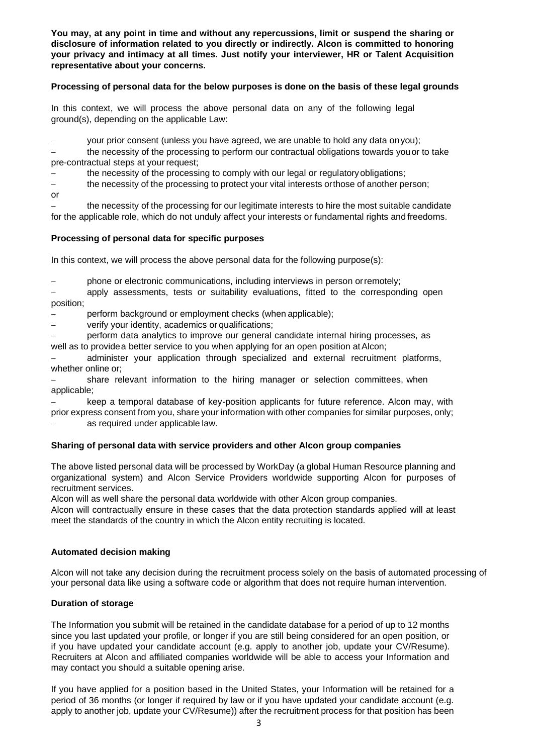**You may, at any point in time and without any repercussions, limit or suspend the sharing or disclosure of information related to you directly or indirectly. Alcon is committed to honoring your privacy and intimacy at all times. Just notify your interviewer, HR or Talent Acquisition representative about your concerns.**

#### **Processing of personal data for the below purposes is done on the basis of these legal grounds**

In this context, we will process the above personal data on any of the following legal ground(s), depending on the applicable Law:

your prior consent (unless you have agreed, we are unable to hold any data on you);

the necessity of the processing to perform our contractual obligations towards you or to take pre-contractual steps at your request;

the necessity of the processing to comply with our legal or regulatory obligations;

− the necessity of the processing to protect your vital interests orthose of another person;

or

the necessity of the processing for our legitimate interests to hire the most suitable candidate for the applicable role, which do not unduly affect your interests or fundamental rights andfreedoms.

#### **Processing of personal data for specific purposes**

In this context, we will process the above personal data for the following purpose(s):

− phone or electronic communications, including interviews in person orremotely;

apply assessments, tests or suitability evaluations, fitted to the corresponding open position;

− perform background or employment checks (whenapplicable);

− verify your identity, academics orqualifications;

− perform data analytics to improve our general candidate internal hiring processes, as well as to providea better service to you when applying for an open position at Alcon;

administer your application through specialized and external recruitment platforms, whether online or;

share relevant information to the hiring manager or selection committees, when applicable;

keep a temporal database of key-position applicants for future reference. Alcon may, with prior express consent from you, share your information with other companies for similar purposes, only;

as required under applicable law.

#### **Sharing of personal data with service providers and other Alcon group companies**

The above listed personal data will be processed by WorkDay (a global Human Resource planning and organizational system) and Alcon Service Providers worldwide supporting Alcon for purposes of recruitment services.

Alcon will as well share the personal data worldwide with other Alcon group companies.

Alcon will contractually ensure in these cases that the data protection standards applied will at least meet the standards of the country in which the Alcon entity recruiting is located.

#### **Automated decision making**

Alcon will not take any decision during the recruitment process solely on the basis of automated processing of your personal data like using a software code or algorithm that does not require human intervention.

#### **Duration of storage**

The Information you submit will be retained in the candidate database for a period of up to 12 months since you last updated your profile, or longer if you are still being considered for an open position, or if you have updated your candidate account (e.g. apply to another job, update your CV/Resume). Recruiters at Alcon and affiliated companies worldwide will be able to access your Information and may contact you should a suitable opening arise.

If you have applied for a position based in the United States, your Information will be retained for a period of 36 months (or longer if required by law or if you have updated your candidate account (e.g. apply to another job, update your CV/Resume)) after the recruitment process for that position has been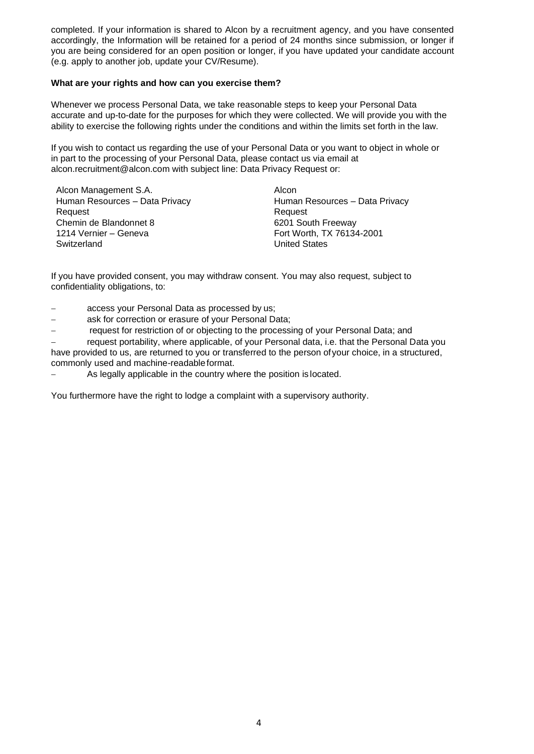completed. If your information is shared to Alcon by a recruitment agency, and you have consented accordingly, the Information will be retained for a period of 24 months since submission, or longer if you are being considered for an open position or longer, if you have updated your candidate account (e.g. apply to another job, update your CV/Resume).

#### **What are your rights and how can you exercise them?**

Whenever we process Personal Data, we take reasonable steps to keep your Personal Data accurate and up-to-date for the purposes for which they were collected. We will provide you with the ability to exercise the following rights under the conditions and within the limits set forth in the law.

If you wish to contact us regarding the use of your Personal Data or you want to object in whole or in part to the processing of your Personal Data, please [contact us via email at](mailto:contact%20us%20via%20email%20at%20alcon.recruitment@alcon.com%20with%20%20subject%20line:%20%20Data%20Privacy%20Request%20or.)  [alcon.recruitment@alcon.com with](mailto:contact%20us%20via%20email%20at%20alcon.recruitment@alcon.com%20with%20%20subject%20line:%20%20Data%20Privacy%20Request%20or.) subject line: Data Privacy Request or:

Alcon Management S.A. Alcon Human Resources – Data Privacy Request Chemin de Blandonnet 8 6201 South Freeway 1214 Vernier – Geneva<br>
Fort Worth, TX 76134-2001 Switzerland **United States** 

Human Resources – Data Privacy Request

If you have provided consent, you may withdraw consent. You may also request, subject to confidentiality obligations, to:

- − access your Personal Data as processed by us;
- − ask for correction or erasure of your Personal Data;
- − request for restriction of or objecting to the processing of your Personal Data; and

− request portability, where applicable, of your Personal data, i.e. that the Personal Data you have provided to us, are returned to you or transferred to the person ofyour choice, in a structured, commonly used and machine-readableformat.

As legally applicable in the country where the position is located.

You furthermore have the right to lodge a complaint with a supervisory authority.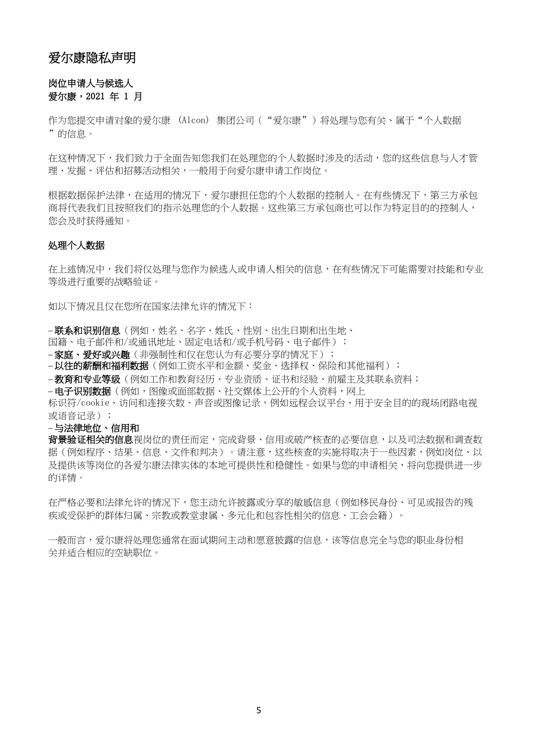### 爱尔康隐私声明

#### 岗位申请人与候选人 爱尔康,2021 年 1 月

<span id="page-4-0"></span>[作为您提交申请对象的爱尔康](https://www.novartis.com/about-us/contact/office-locations) (Alcon) 集团公司 ("爱尔康") 将处理与您有关、属于"个人数据 "的信息。

在这种情况下,我们致力于全面告知您我们在处理您的个人数据时涉及的活动,您的这些信息与人才管 理、发掘、评估和招募活动相关,一般用于向爱尔康申请工作岗位。

根据数据保护法律,在适用的情况下,爱尔康担任您的个人数据的控制人。在有些情况下,第三方承包 商将代表我们且按照我们的指示处理您的个人数据。这些第三方承包商也可以作为特定目的的控制人, 您会及时获得通知。

#### 处理个人数据

在上述情况中,我们将仅处理与您作为候选人或申请人相关的信息,在有些情况下可能需要对技能和专业 等级进行重要的战略验证。

如以下情况且仅在您所在国家法律允许的情况下:

−**联系和识别信息**(例如,姓名、名字、姓氏、性别、出生日期和出生地、

国籍、电子邮件和/或通讯地址、固定电话和/或手机号码、电子邮件);

−家庭、爱好或兴趣(非强制性和仅在您认为有必要分享的情况下);

−以往的薪酬和福利数据(例如工资水平和金额、奖金、选择权、保险和其他福利);

− **教育和专业等级**(例如工作和教育经历、专业资质、证书和经验、前雇主及其联系资料;

− 电子识别数据(例如, 图像或面部数据、社交媒体上公开的个人资料, 网上

标识符/cookie、访问和连接次数、声音或图像记录,例如远程会议平台、用于安全目的的现场闭路电视 或语音记录);

#### − 与法律地位、信用和

**背景验证相关的信息**视岗位的责任而定,完成背景、信用或破产核查的必要信息,以及司法数据和调查数 据(例如程序、结果、信息、文件和判决)。请注意,这些核查的实施将取决于一些因素,例如岗位、以 及提供该等岗位的各爱尔康法律实体的本地可提供性和稳健性。如果与您的申请相关,将向您提供进一步 的详情。

在严格必要和法律允许的情况下,您主动允许披露或分享的敏感信息(例如移民身份、可见或报告的残 疾或受保护的群体归属、宗教或教堂隶属、多元化和包容性相关的信息、工会会籍)。

一般而言,爱尔康将处理您通常在面试期间主动和愿意披露的信息,该等信息完全与您的职业身份相 关并适合相应的空缺职位。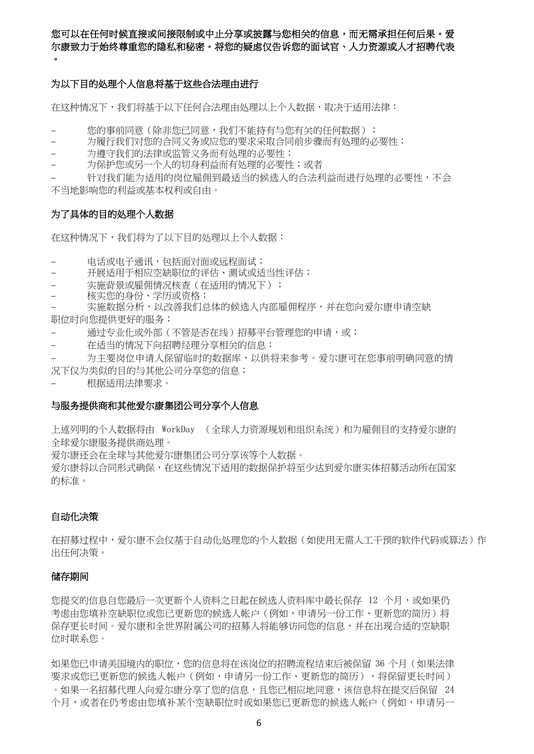#### 您可以在任何时候直接或间接限制或中止分享或披露与您相关的信息,而无需承担任何后果。爱 尔康致力于始终尊重您的隐私和秘密。将您的疑虑仅告诉您的面试官、人力资源或人才招聘代表  $\bullet$

#### 为以下目的处理个人信息将基于这些合法理由进行

在这种情况下,我们将基于以下任何合法理由处理以上个人数据,取决于适用法律:

- 您的事前同意(除非您已同意,我们不能持有与您有关的任何数据);
	- − 为履行我们对您的合同义务或应您的要求采取合同前步骤而有处理的必要性;
- 为遵守我们的法律或监管义务而有处理的必要性;
- 为保护您或另一个人的切身利益而有处理的必要性;或者

针对我们能为适用的岗位雇佣到最适当的候选人的合法利益而进行处理的必要性,不会 不当地影响您的利益或基本权利或自由。

#### 为了具体的目的处理个人数据

在这种情况下,我们将为了以下目的处理以上个人数据:

- − 电话或电子通讯,包括面对面或远程面试;
- − 开展适用于相应空缺职位的评估、测试或适当性评估;
- 实施背景或雇佣情况核查(在适用的情况下);
- 核实您的身份、学历或资格;
- 实施数据分析,以改善我们总体的候选人内部雇佣程序,并在您向爱尔康申请空缺

职位时向您提供更好的服务;

- 通过专业化或外部(不管是否在线)招募平台管理您的申请,或;
- − 在适当的情况下向招聘经理分享相关的信息;
- − 为主要岗位申请人保留临时的数据库,以供将来参考。爱尔康可在您事前明确同意的情 况下仅为类似的目的与其他公司分享您的信息;
- − 根据适用法律要求。

#### 与服务提供商和其他爱尔康集团公司分享个人信息

上述列明的个人数据将由 WorkDay (全球人力资源规划和组织系统)和为雇佣目的支持爱尔康的 全球爱尔康服务提供商处理。

爱尔康还会在全球与其他爱尔康集团公司分享该等个人数据。

爱尔康将以合同形式确保,在这些情况下适用的数据保护将至少达到爱尔康实体招募活动所在国家 的标准。

#### 自动化决策

在招募过程中,爱尔康不会仅基于自动化处理您的个人数据(如使用无需人工干预的软件代码或算法)作 出任何决策。

#### 储存期间

您提交的信息自您最后一次更新个人资料之日起在候选人资料库中最长保存 12 个月,或如果仍 考虑由您填补空缺职位或您已更新您的候选人帐户(例如,申请另一份工作、更新您的简历)将 保存更长时间。爱尔康和全世界附属公司的招募人将能够访问您的信息,并在出现合适的空缺职 位时联系您。

如果您已申请美国境内的职位,您的信息将在该岗位的招聘流程结束后被保留 36 个月 (如果法律 要求或您已更新您的候选人帐户(例如,申请另一份工作、更新您的简历),将保留更长时间) 。如果一名招募代理人向爱尔康分享了您的信息,且您已相应地同意,该信息将在提交后保留 24 个月,或者在仍考虑由您填补某个空缺职位时或如果您已更新您的候选人帐户(例如,申请另一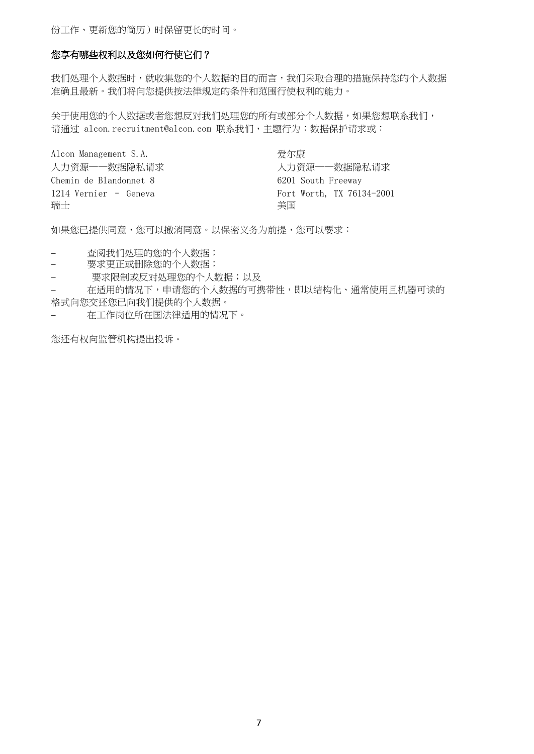份工作、更新您的简历)时保留更长的时间。

#### 您享有哪些权利以及您如何行使它们?

我们处理个人数据所个人数据的目的而言,我们采取合理的措施保持您的个人数据 准确且最新。我们将向您提供按法律规定的条件和范围行使权利的能力。

关于使用您的个人数据或者您想反对我们处理您的所有或部分个人数据,如果您想联系我们, 请通过 [alcon.recruitment@alcon.com](mailto:contact%20us%20via%20email%20at%20alcon.recruitment@alcon.com%20with%20%20subject%20line:%20%20Data%20Privacy%20Request%20or.) [联系我们,主题行为:数据保护请求或:](mailto:contact%20us%20via%20email%20at%20alcon.recruitment@alcon.com%20with%20%20subject%20line:%20%20Data%20Privacy%20Request%20or.)

Alcon Management S.A. <br>
<del>爱</del>尔康 Chemin de Blandonnet 8 6201 South Freeway おおし おおし おおし おおし おおし おおし おおし おおし 美国 おおところ かいしょう かいしょう しょうかい しょうかい しょうかい しょうかい しょうかい

人力资源——数据隐私请求 网络卡尔卡尔 医心脏 人力资源——数据隐私请求 1214 Vernier – Geneva Fort Worth, TX 76134-2001

如果您已提供同意,您可以撤消同意。以保密义务为前提,您可以要求:

− 查阅我们处理的您的个人数据;

− 要求更正或删除您的个人数据;

要求限制或反对处理您的个人数据;以及

在适用的情况下,申请您的个人数据的可携带性,即以结构化、通常使用且机器可读的 格式向您交还您已向我们提供的个人数据。

− 在工作岗位所在国法律适用的情况下。

您还有权向监管机构提出投诉。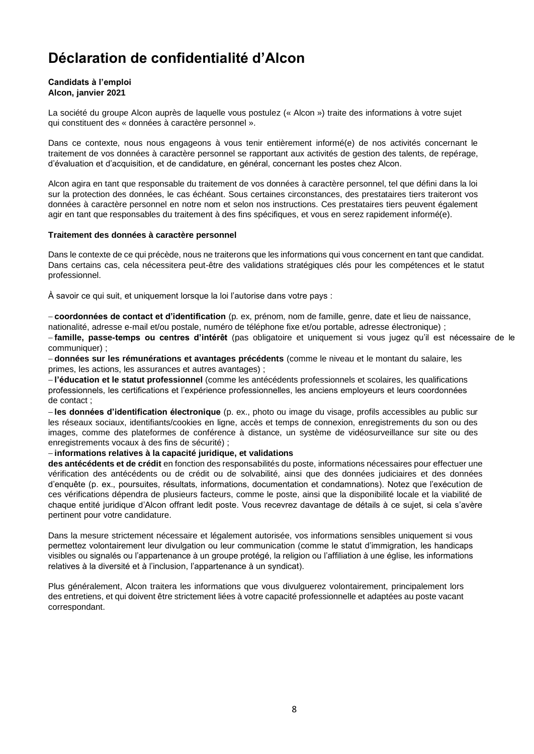# **Déclaration de confidentialité d'Alcon**

#### **Candidats à l'emploi Alcon, janvier 2021**

La société du [groupe Alcon](https://www.novartis.com/about-us/contact/office-locations) [auprès de laquelle vous postulez \(«](https://www.novartis.com/about-us/contact/office-locations) Alcon ») traite des informations à votre sujet qui constituent des « données à caractère personnel ».

Dans ce contexte, nous nous engageons à vous tenir entièrement informé(e) de nos activités concernant le traitement de vos données à caractère personnel se rapportant aux activités de gestion des talents, de repérage, d'évaluation et d'acquisition, et de candidature, en général, concernant les postes chez Alcon.

Alcon agira en tant que responsable du traitement de vos données à caractère personnel, tel que défini dans la loi sur la protection des données, le cas échéant. Sous certaines circonstances, des prestataires tiers traiteront vos données à caractère personnel en notre nom et selon nos instructions. Ces prestataires tiers peuvent également agir en tant que responsables du traitement à des fins spécifiques, et vous en serez rapidement informé(e).

#### <span id="page-7-0"></span>**Traitement des données à caractère personnel**

Dans le contexte de ce qui précède, nous ne traiterons que les informations qui vous concernent en tant que candidat. Dans certains cas, cela nécessitera peut-être des validations stratégiques clés pour les compétences et le statut professionnel.

À savoir ce qui suit, et uniquement lorsque la loi l'autorise dans votre pays :

− **coordonnées de contact et d'identification** (p. ex, prénom, nom de famille, genre, date et lieu de naissance, nationalité, adresse e-mail et/ou postale, numéro de téléphone fixe et/ou portable, adresse électronique) ;

− **famille, passe-temps ou centres d'intérêt** (pas obligatoire et uniquement si vous jugez qu'il est nécessaire de le communiquer) ;

− **données sur les rémunérations et avantages précédents** (comme le niveau et le montant du salaire, les primes, les actions, les assurances et autres avantages) ;

− **l'éducation et le statut professionnel** (comme les antécédents professionnels et scolaires, les qualifications professionnels, les certifications et l'expérience professionnelles, les anciens employeurs et leurs coordonnées de contact ;

− **les données d'identification électronique** (p. ex., photo ou image du visage, profils accessibles au public sur les réseaux sociaux, identifiants/cookies en ligne, accès et temps de connexion, enregistrements du son ou des images, comme des plateformes de conférence à distance, un système de vidéosurveillance sur site ou des enregistrements vocaux à des fins de sécurité) ;

#### − **informations relatives à la capacité juridique, et validations**

**des antécédents et de crédit** en fonction des responsabilités du poste, informations nécessaires pour effectuer une vérification des antécédents ou de crédit ou de solvabilité, ainsi que des données judiciaires et des données d'enquête (p. ex., poursuites, résultats, informations, documentation et condamnations). Notez que l'exécution de ces vérifications dépendra de plusieurs facteurs, comme le poste, ainsi que la disponibilité locale et la viabilité de chaque entité juridique d'Alcon offrant ledit poste. Vous recevrez davantage de détails à ce sujet, si cela s'avère pertinent pour votre candidature.

Dans la mesure strictement nécessaire et légalement autorisée, vos informations sensibles uniquement si vous permettez volontairement leur divulgation ou leur communication (comme le statut d'immigration, les handicaps visibles ou signalés ou l'appartenance à un groupe protégé, la religion ou l'affiliation à une église, les informations relatives à la diversité et à l'inclusion, l'appartenance à un syndicat).

Plus généralement, Alcon traitera les informations que vous divulguerez volontairement, principalement lors des entretiens, et qui doivent être strictement liées à votre capacité professionnelle et adaptées au poste vacant correspondant.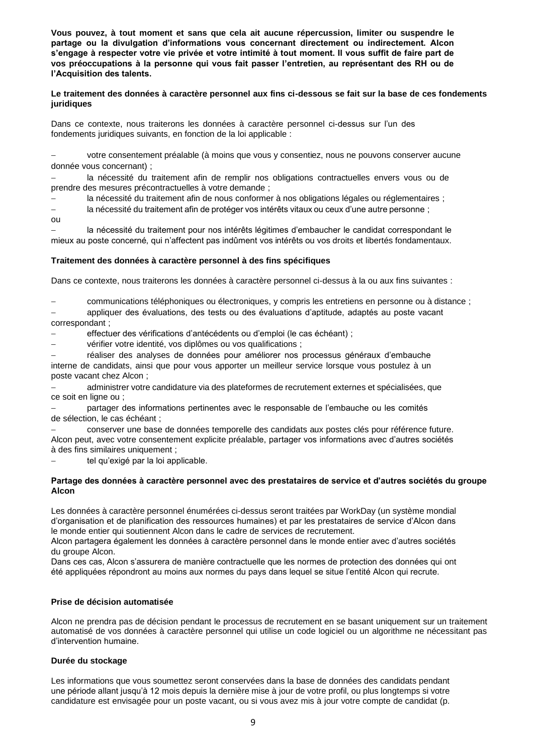**Vous pouvez, à tout moment et sans que cela ait aucune répercussion, limiter ou suspendre le partage ou la divulgation d'informations vous concernant directement ou indirectement. Alcon s'engage à respecter votre vie privée et votre intimité à tout moment. Il vous suffit de faire part de vos préoccupations à la personne qui vous fait passer l'entretien, au représentant des RH ou de l'Acquisition des talents.**

**Le traitement des données à caractère personnel aux fins ci-dessous se fait sur la base de ces fondements juridiques**

Dans ce contexte, nous traiterons les données à caractère personnel ci-dessus sur l'un des fondements juridiques suivants, en fonction de la loi applicable :

votre consentement préalable (à moins que vous y consentiez, nous ne pouvons conserver aucune donnée vous concernant) ;

la nécessité du traitement afin de remplir nos obligations contractuelles envers vous ou de prendre des mesures précontractuelles à votre demande ;

la nécessité du traitement afin de nous conformer à nos obligations légales ou réglementaires ;

la nécessité du traitement afin de protéger vos intérêts vitaux ou ceux d'une autre personne ;

ou

la nécessité du traitement pour nos intérêts légitimes d'embaucher le candidat correspondant le mieux au poste concerné, qui n'affectent pas indûment vos intérêts ou vos droits et libertés fondamentaux.

#### **Traitement des données à caractère personnel à des fins spécifiques**

Dans ce contexte, nous traiterons les données à caractère personnel ci-dessus à la ou aux fins suivantes :

− communications téléphoniques ou électroniques, y compris les entretiens en personne ou à distance ;

− appliquer des évaluations, des tests ou des évaluations d'aptitude, adaptés au poste vacant correspondant ;

effectuer des vérifications d'antécédents ou d'emploi (le cas échéant) ;

− vérifier votre identité, vos diplômes ou vos qualifications ;

− réaliser des analyses de données pour améliorer nos processus généraux d'embauche interne de candidats, ainsi que pour vous apporter un meilleur service lorsque vous postulez à un poste vacant chez Alcon ;

− administrer votre candidature via des plateformes de recrutement externes et spécialisées, que ce soit en ligne ou ;

− partager des informations pertinentes avec le responsable de l'embauche ou les comités de sélection, le cas échéant ;

− conserver une base de données temporelle des candidats aux postes clés pour référence future. Alcon peut, avec votre consentement explicite préalable, partager vos informations avec d'autres sociétés à des fins similaires uniquement ;

− tel qu'exigé par la loi applicable.

#### **Partage des données à caractère personnel avec des prestataires de service et d'autres sociétés du groupe Alcon**

Les données à caractère personnel énumérées ci-dessus seront traitées par WorkDay (un système mondial d'organisation et de planification des ressources humaines) et par les prestataires de service d'Alcon dans le monde entier qui soutiennent Alcon dans le cadre de services de recrutement.

Alcon partagera également les données à caractère personnel dans le monde entier avec d'autres sociétés du groupe Alcon.

Dans ces cas, Alcon s'assurera de manière contractuelle que les normes de protection des données qui ont été appliquées répondront au moins aux normes du pays dans lequel se situe l'entité Alcon qui recrute.

#### **Prise de décision automatisée**

Alcon ne prendra pas de décision pendant le processus de recrutement en se basant uniquement sur un traitement automatisé de vos données à caractère personnel qui utilise un code logiciel ou un algorithme ne nécessitant pas d'intervention humaine.

#### **Durée du stockage**

Les informations que vous soumettez seront conservées dans la base de données des candidats pendant une période allant jusqu'à 12 mois depuis la dernière mise à jour de votre profil, ou plus longtemps si votre candidature est envisagée pour un poste vacant, ou si vous avez mis à jour votre compte de candidat (p.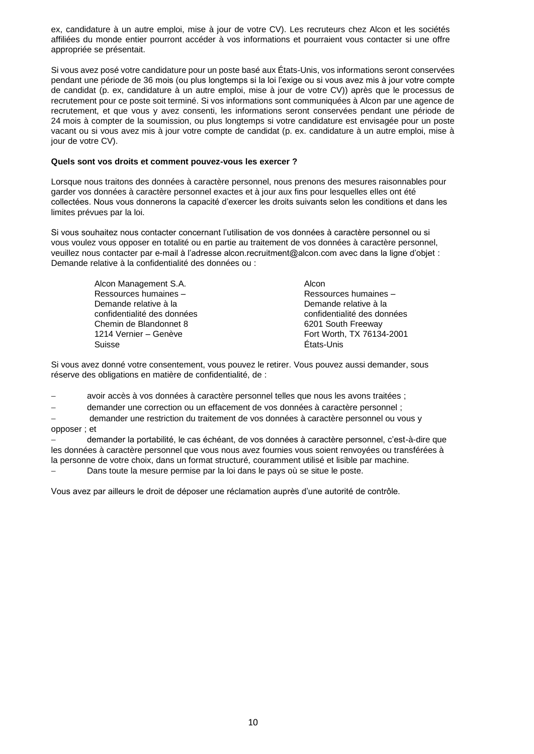ex, candidature à un autre emploi, mise à jour de votre CV). Les recruteurs chez Alcon et les sociétés affiliées du monde entier pourront accéder à vos informations et pourraient vous contacter si une offre appropriée se présentait.

Si vous avez posé votre candidature pour un poste basé aux États-Unis, vos informations seront conservées pendant une période de 36 mois (ou plus longtemps si la loi l'exige ou si vous avez mis à jour votre compte de candidat (p. ex, candidature à un autre emploi, mise à jour de votre CV)) après que le processus de recrutement pour ce poste soit terminé. Si vos informations sont communiquées à Alcon par une agence de recrutement, et que vous y avez consenti, les informations seront conservées pendant une période de 24 mois à compter de la soumission, ou plus longtemps si votre candidature est envisagée pour un poste vacant ou si vous avez mis à jour votre compte de candidat (p. ex. candidature à un autre emploi, mise à jour de votre CV).

#### **Quels sont vos droits et comment pouvez-vous les exercer ?**

Lorsque nous traitons des données à caractère personnel, nous prenons des mesures raisonnables pour garder vos données à caractère personnel exactes et à jour aux fins pour lesquelles elles ont été collectées. Nous vous donnerons la capacité d'exercer les droits suivants selon les conditions et dans les limites prévues par la loi.

Si vous souhaitez nous contacter concernant l'utilisation de vos données à caractère personnel ou si vous voulez vous opposer en totalité ou en partie au traitement de vos données à caractère personnel, veuillez [nous contacter par e-mail à l'adresse alcon.recruitment@alcon.com avec dans la ligne d'objet](mailto:contact%20us%20via%20email%20at%20alcon.recruitment@alcon.com%20with%20%20subject%20line:%20%20Data%20Privacy%20Request%20or.) : [Demande relative à la confidentialité des données ou](mailto:contact%20us%20via%20email%20at%20alcon.recruitment@alcon.com%20with%20%20subject%20line:%20%20Data%20Privacy%20Request%20or.) :

> Alcon Management S.A. Alcon Ressources humaines – Demande relative à la confidentialité des données Chemin de Blandonnet 8 6201 South Freeway Suisse États-Unis

Ressources humaines – Demande relative à la confidentialité des données 1214 Vernier – Genève Fort Worth, TX 76134-2001

Si vous avez donné votre consentement, vous pouvez le retirer. Vous pouvez aussi demander, sous réserve des obligations en matière de confidentialité, de :

avoir accès à vos données à caractère personnel telles que nous les avons traitées ;

− demander une correction ou un effacement de vos données à caractère personnel ;

− demander une restriction du traitement de vos données à caractère personnel ou vous y opposer ; et

− demander la portabilité, le cas échéant, de vos données à caractère personnel, c'est-à-dire que les données à caractère personnel que vous nous avez fournies vous soient renvoyées ou transférées à la personne de votre choix, dans un format structuré, couramment utilisé et lisible par machine.

Dans toute la mesure permise par la loi dans le pays où se situe le poste.

Vous avez par ailleurs le droit de déposer une réclamation auprès d'une autorité de contrôle.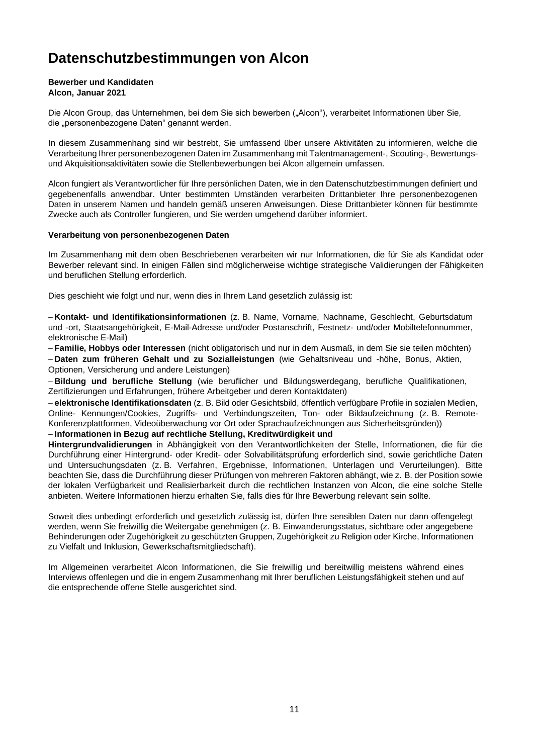# <span id="page-10-0"></span>**Datenschutzbestimmungen von Alcon**

## **Bewerber und Kandidaten**

#### **Alcon, Januar 2021**

[Die Alcon Group,](https://www.novartis.com/about-us/contact/office-locations) [das Unternehmen, bei dem Sie sich bewerben \("Alcon"\), v](https://www.novartis.com/about-us/contact/office-locations)erarbeitet Informationen über Sie, die "personenbezogene Daten" genannt werden.

In diesem Zusammenhang sind wir bestrebt, Sie umfassend über unsere Aktivitäten zu informieren, welche die Verarbeitung Ihrer personenbezogenen Daten im Zusammenhang mit Talentmanagement-, Scouting-, Bewertungsund Akquisitionsaktivitäten sowie die Stellenbewerbungen bei Alcon allgemein umfassen.

Alcon fungiert als Verantwortlicher für Ihre persönlichen Daten, wie in den Datenschutzbestimmungen definiert und gegebenenfalls anwendbar. Unter bestimmten Umständen verarbeiten Drittanbieter Ihre personenbezogenen Daten in unserem Namen und handeln gemäß unseren Anweisungen. Diese Drittanbieter können für bestimmte Zwecke auch als Controller fungieren, und Sie werden umgehend darüber informiert.

#### **Verarbeitung von personenbezogenen Daten**

Im Zusammenhang mit dem oben Beschriebenen verarbeiten wir nur Informationen, die für Sie als Kandidat oder Bewerber relevant sind. In einigen Fällen sind möglicherweise wichtige strategische Validierungen der Fähigkeiten und beruflichen Stellung erforderlich.

Dies geschieht wie folgt und nur, wenn dies in Ihrem Land gesetzlich zulässig ist:

− **Kontakt- und Identifikationsinformationen** (z. B. Name, Vorname, Nachname, Geschlecht, Geburtsdatum und -ort, Staatsangehörigkeit, E-Mail-Adresse und/oder Postanschrift, Festnetz- und/oder Mobiltelefonnummer, elektronische E-Mail)

− **Familie, Hobbys oder Interessen** (nicht obligatorisch und nur in dem Ausmaß, in dem Sie sie teilen möchten) − **Daten zum früheren Gehalt und zu Sozialleistungen** (wie Gehaltsniveau und -höhe, Bonus, Aktien, Optionen, Versicherung und andere Leistungen)

− **Bildung und berufliche Stellung** (wie beruflicher und Bildungswerdegang, berufliche Qualifikationen, Zertifizierungen und Erfahrungen, frühere Arbeitgeber und deren Kontaktdaten)

− **elektronische Identifikationsdaten** (z. B. Bild oder Gesichtsbild, öffentlich verfügbare Profile in sozialen Medien, Online- Kennungen/Cookies, Zugriffs- und Verbindungszeiten, Ton- oder Bildaufzeichnung (z. B. Remote-Konferenzplattformen, Videoüberwachung vor Ort oder Sprachaufzeichnungen aus Sicherheitsgründen))

#### − **Informationen in Bezug auf rechtliche Stellung, Kreditwürdigkeit und**

**Hintergrundvalidierungen** in Abhängigkeit von den Verantwortlichkeiten der Stelle, Informationen, die für die Durchführung einer Hintergrund- oder Kredit- oder Solvabilitätsprüfung erforderlich sind, sowie gerichtliche Daten und Untersuchungsdaten (z. B. Verfahren, Ergebnisse, Informationen, Unterlagen und Verurteilungen). Bitte beachten Sie, dass die Durchführung dieser Prüfungen von mehreren Faktoren abhängt, wie z. B. der Position sowie der lokalen Verfügbarkeit und Realisierbarkeit durch die rechtlichen Instanzen von Alcon, die eine solche Stelle anbieten. Weitere Informationen hierzu erhalten Sie, falls dies für Ihre Bewerbung relevant sein sollte.

Soweit dies unbedingt erforderlich und gesetzlich zulässig ist, dürfen Ihre sensiblen Daten nur dann offengelegt werden, wenn Sie freiwillig die Weitergabe genehmigen (z. B. Einwanderungsstatus, sichtbare oder angegebene Behinderungen oder Zugehörigkeit zu geschützten Gruppen, Zugehörigkeit zu Religion oder Kirche, Informationen zu Vielfalt und Inklusion, Gewerkschaftsmitgliedschaft).

Im Allgemeinen verarbeitet Alcon Informationen, die Sie freiwillig und bereitwillig meistens während eines Interviews offenlegen und die in engem Zusammenhang mit Ihrer beruflichen Leistungsfähigkeit stehen und auf die entsprechende offene Stelle ausgerichtet sind.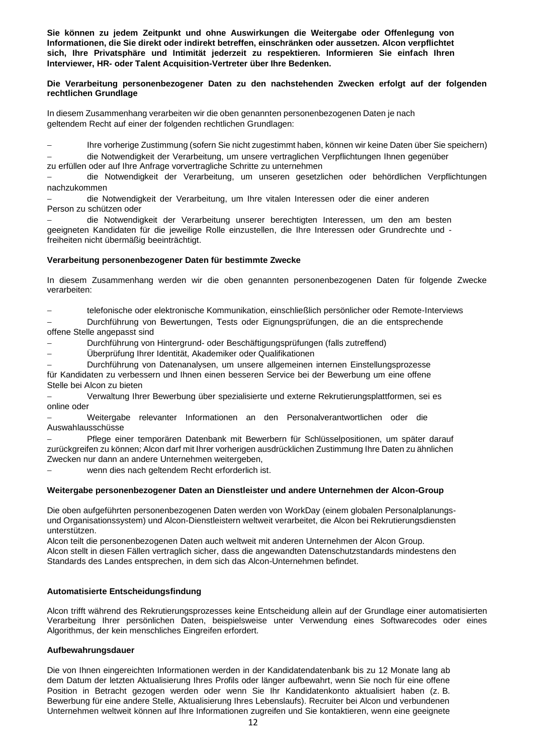**Sie können zu jedem Zeitpunkt und ohne Auswirkungen die Weitergabe oder Offenlegung von Informationen, die Sie direkt oder indirekt betreffen, einschränken oder aussetzen. Alcon verpflichtet sich, Ihre Privatsphäre und Intimität jederzeit zu respektieren. Informieren Sie einfach Ihren Interviewer, HR- oder Talent Acquisition-Vertreter über Ihre Bedenken.**

#### **Die Verarbeitung personenbezogener Daten zu den nachstehenden Zwecken erfolgt auf der folgenden rechtlichen Grundlage**

In diesem Zusammenhang verarbeiten wir die oben genannten personenbezogenen Daten je nach geltendem Recht auf einer der folgenden rechtlichen Grundlagen:

− Ihre vorherige Zustimmung (sofern Sie nicht zugestimmt haben, können wir keine Daten über Sie speichern)

− die Notwendigkeit der Verarbeitung, um unsere vertraglichen Verpflichtungen Ihnen gegenüber zu erfüllen oder auf Ihre Anfrage vorvertragliche Schritte zu unternehmen

− die Notwendigkeit der Verarbeitung, um unseren gesetzlichen oder behördlichen Verpflichtungen nachzukommen

− die Notwendigkeit der Verarbeitung, um Ihre vitalen Interessen oder die einer anderen Person zu schützen oder

− die Notwendigkeit der Verarbeitung unserer berechtigten Interessen, um den am besten geeigneten Kandidaten für die jeweilige Rolle einzustellen, die Ihre Interessen oder Grundrechte und freiheiten nicht übermäßig beeinträchtigt.

#### **Verarbeitung personenbezogener Daten für bestimmte Zwecke**

In diesem Zusammenhang werden wir die oben genannten personenbezogenen Daten für folgende Zwecke verarbeiten:

− telefonische oder elektronische Kommunikation, einschließlich persönlicher oder Remote-Interviews

− Durchführung von Bewertungen, Tests oder Eignungsprüfungen, die an die entsprechende offene Stelle angepasst sind

− Durchführung von Hintergrund- oder Beschäftigungsprüfungen (falls zutreffend)

− Überprüfung Ihrer Identität, Akademiker oder Qualifikationen

− Durchführung von Datenanalysen, um unsere allgemeinen internen Einstellungsprozesse für Kandidaten zu verbessern und Ihnen einen besseren Service bei der Bewerbung um eine offene Stelle bei Alcon zu bieten

− Verwaltung Ihrer Bewerbung über spezialisierte und externe Rekrutierungsplattformen, sei es online oder

− Weitergabe relevanter Informationen an den Personalverantwortlichen oder die Auswahlausschüsse

− Pflege einer temporären Datenbank mit Bewerbern für Schlüsselpositionen, um später darauf zurückgreifen zu können; Alcon darf mit Ihrer vorherigen ausdrücklichen Zustimmung Ihre Daten zu ähnlichen Zwecken nur dann an andere Unternehmen weitergeben,

wenn dies nach geltendem Recht erforderlich ist.

#### **Weitergabe personenbezogener Daten an Dienstleister und andere Unternehmen der Alcon-Group**

Die oben aufgeführten personenbezogenen Daten werden von WorkDay (einem globalen Personalplanungsund Organisationssystem) und Alcon-Dienstleistern weltweit verarbeitet, die Alcon bei Rekrutierungsdiensten unterstützen.

Alcon teilt die personenbezogenen Daten auch weltweit mit anderen Unternehmen der Alcon Group. Alcon stellt in diesen Fällen vertraglich sicher, dass die angewandten Datenschutzstandards mindestens den Standards des Landes entsprechen, in dem sich das Alcon-Unternehmen befindet.

#### **Automatisierte Entscheidungsfindung**

Alcon trifft während des Rekrutierungsprozesses keine Entscheidung allein auf der Grundlage einer automatisierten Verarbeitung Ihrer persönlichen Daten, beispielsweise unter Verwendung eines Softwarecodes oder eines Algorithmus, der kein menschliches Eingreifen erfordert.

#### **Aufbewahrungsdauer**

Die von Ihnen eingereichten Informationen werden in der Kandidatendatenbank bis zu 12 Monate lang ab dem Datum der letzten Aktualisierung Ihres Profils oder länger aufbewahrt, wenn Sie noch für eine offene Position in Betracht gezogen werden oder wenn Sie Ihr Kandidatenkonto aktualisiert haben (z. B. Bewerbung für eine andere Stelle, Aktualisierung Ihres Lebenslaufs). Recruiter bei Alcon und verbundenen Unternehmen weltweit können auf Ihre Informationen zugreifen und Sie kontaktieren, wenn eine geeignete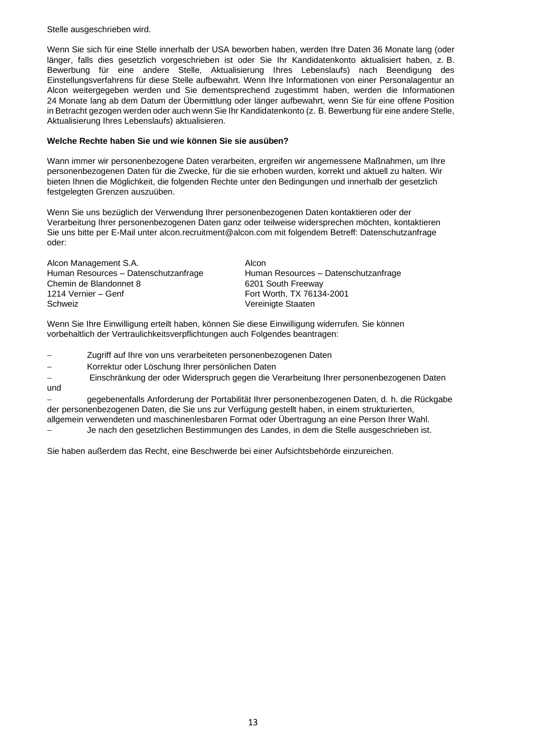Stelle ausgeschrieben wird.

Wenn Sie sich für eine Stelle innerhalb der USA beworben haben, werden Ihre Daten 36 Monate lang (oder länger, falls dies gesetzlich vorgeschrieben ist oder Sie Ihr Kandidatenkonto aktualisiert haben, z. B. Bewerbung für eine andere Stelle, Aktualisierung Ihres Lebenslaufs) nach Beendigung des Einstellungsverfahrens für diese Stelle aufbewahrt. Wenn Ihre Informationen von einer Personalagentur an Alcon weitergegeben werden und Sie dementsprechend zugestimmt haben, werden die Informationen 24 Monate lang ab dem Datum der Übermittlung oder länger aufbewahrt, wenn Sie für eine offene Position in Betracht gezogen werden oder auch wenn Sie Ihr Kandidatenkonto (z. B. Bewerbung für eine andere Stelle, Aktualisierung Ihres Lebenslaufs) aktualisieren.

#### **Welche Rechte haben Sie und wie können Sie sie ausüben?**

Wann immer wir personenbezogene Daten verarbeiten, ergreifen wir angemessene Maßnahmen, um Ihre personenbezogenen Daten für die Zwecke, für die sie erhoben wurden, korrekt und aktuell zu halten. Wir bieten Ihnen die Möglichkeit, die folgenden Rechte unter den Bedingungen und innerhalb der gesetzlich festgelegten Grenzen auszuüben.

Wenn Sie uns bezüglich der Verwendung Ihrer personenbezogenen Daten kontaktieren oder der Verarbeitung Ihrer personenbezogenen Daten ganz oder teilweise widersprechen möchten, [kontaktieren](mailto:contact%20us%20via%20email%20at%20alcon.recruitment@alcon.com%20with%20%20subject%20line:%20%20Data%20Privacy%20Request%20or.)  [Sie uns bitte per E-Mail unter alcon.recruitment@alcon.com mit folgendem Betreff: Datenschutzanfrage](mailto:contact%20us%20via%20email%20at%20alcon.recruitment@alcon.com%20with%20%20subject%20line:%20%20Data%20Privacy%20Request%20or.)  [oder:](mailto:contact%20us%20via%20email%20at%20alcon.recruitment@alcon.com%20with%20%20subject%20line:%20%20Data%20Privacy%20Request%20or.)

| Alcon Management S.A.                | Alcon                                |
|--------------------------------------|--------------------------------------|
| Human Resources - Datenschutzanfrage | Human Resources - Datenschutzanfrage |
| Chemin de Blandonnet 8               | 6201 South Freeway                   |
| 1214 Vernier – Genf                  | Fort Worth, TX 76134-2001            |
| Schweiz                              | Vereinigte Staaten                   |

Wenn Sie Ihre Einwilligung erteilt haben, können Sie diese Einwilligung widerrufen. Sie können vorbehaltlich der Vertraulichkeitsverpflichtungen auch Folgendes beantragen:

Zugriff auf Ihre von uns verarbeiteten personenbezogenen Daten

− Korrektur oder Löschung Ihrer persönlichen Daten

− Einschränkung der oder Widerspruch gegen die Verarbeitung Ihrer personenbezogenen Daten und

− gegebenenfalls Anforderung der Portabilität Ihrer personenbezogenen Daten, d. h. die Rückgabe der personenbezogenen Daten, die Sie uns zur Verfügung gestellt haben, in einem strukturierten, allgemein verwendeten und maschinenlesbaren Format oder Übertragung an eine Person Ihrer Wahl.

− Je nach den gesetzlichen Bestimmungen des Landes, in dem die Stelle ausgeschrieben ist.

Sie haben außerdem das Recht, eine Beschwerde bei einer Aufsichtsbehörde einzureichen.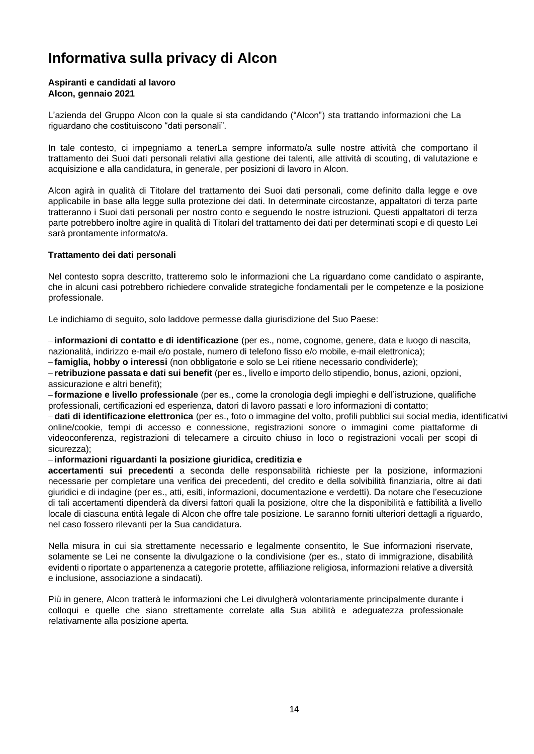# <span id="page-13-0"></span>**Informativa sulla privacy di Alcon**

#### **Aspiranti e candidati al lavoro Alcon, gennaio 2021**

[L'azienda](https://www.novartis.com/about-us/contact/office-locations) [del Gruppo Alcon con la quale si sta candidando \("Alcon"\) s](https://www.novartis.com/about-us/contact/office-locations)ta trattando informazioni che La riguardano che costituiscono "dati personali".

In tale contesto, ci impegniamo a tenerLa sempre informato/a sulle nostre attività che comportano il trattamento dei Suoi dati personali relativi alla gestione dei talenti, alle attività di scouting, di valutazione e acquisizione e alla candidatura, in generale, per posizioni di lavoro in Alcon.

Alcon agirà in qualità di Titolare del trattamento dei Suoi dati personali, come definito dalla legge e ove applicabile in base alla legge sulla protezione dei dati. In determinate circostanze, appaltatori di terza parte tratteranno i Suoi dati personali per nostro conto e seguendo le nostre istruzioni. Questi appaltatori di terza parte potrebbero inoltre agire in qualità di Titolari del trattamento dei dati per determinati scopi e di questo Lei sarà prontamente informato/a.

#### **Trattamento dei dati personali**

Nel contesto sopra descritto, tratteremo solo le informazioni che La riguardano come candidato o aspirante, che in alcuni casi potrebbero richiedere convalide strategiche fondamentali per le competenze e la posizione professionale.

Le indichiamo di seguito, solo laddove permesse dalla giurisdizione del Suo Paese:

− **informazioni di contatto e di identificazione** (per es., nome, cognome, genere, data e luogo di nascita, nazionalità, indirizzo e-mail e/o postale, numero di telefono fisso e/o mobile, e-mail elettronica);

− **famiglia, hobby o interessi** (non obbligatorie e solo se Lei ritiene necessario condividerle);

− **retribuzione passata e dati sui benefit** (per es., livello e importo dello stipendio, bonus, azioni, opzioni, assicurazione e altri benefit);

− **formazione e livello professionale** (per es., come la cronologia degli impieghi e dell'istruzione, qualifiche professionali, certificazioni ed esperienza, datori di lavoro passati e loro informazioni di contatto;

− **dati di identificazione elettronica** (per es., foto o immagine del volto, profili pubblici sui social media, identificativi online/cookie, tempi di accesso e connessione, registrazioni sonore o immagini come piattaforme di videoconferenza, registrazioni di telecamere a circuito chiuso in loco o registrazioni vocali per scopi di sicurezza);

#### − **informazioni riguardanti la posizione giuridica, creditizia e**

**accertamenti sui precedenti** a seconda delle responsabilità richieste per la posizione, informazioni necessarie per completare una verifica dei precedenti, del credito e della solvibilità finanziaria, oltre ai dati giuridici e di indagine (per es., atti, esiti, informazioni, documentazione e verdetti). Da notare che l'esecuzione di tali accertamenti dipenderà da diversi fattori quali la posizione, oltre che la disponibilità e fattibilità a livello locale di ciascuna entità legale di Alcon che offre tale posizione. Le saranno forniti ulteriori dettagli a riguardo, nel caso fossero rilevanti per la Sua candidatura.

Nella misura in cui sia strettamente necessario e legalmente consentito, le Sue informazioni riservate, solamente se Lei ne consente la divulgazione o la condivisione (per es., stato di immigrazione, disabilità evidenti o riportate o appartenenza a categorie protette, affiliazione religiosa, informazioni relative a diversità e inclusione, associazione a sindacati).

Più in genere, Alcon tratterà le informazioni che Lei divulgherà volontariamente principalmente durante i colloqui e quelle che siano strettamente correlate alla Sua abilità e adeguatezza professionale relativamente alla posizione aperta.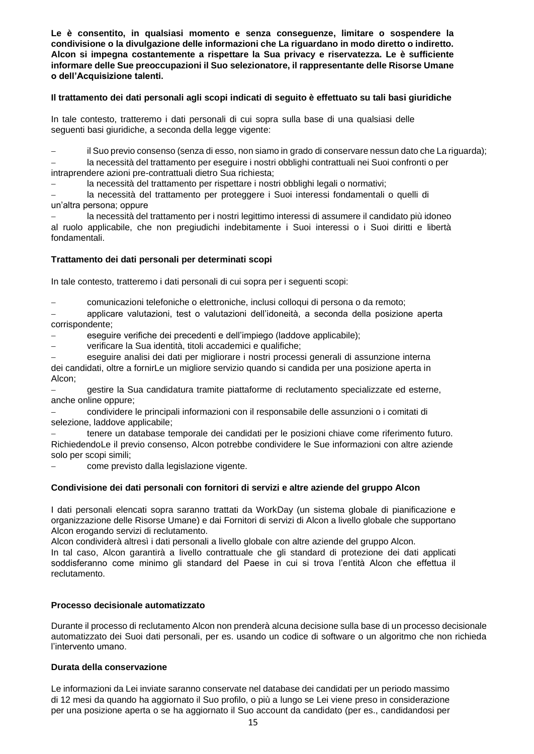**Le è consentito, in qualsiasi momento e senza conseguenze, limitare o sospendere la condivisione o la divulgazione delle informazioni che La riguardano in modo diretto o indiretto. Alcon si impegna costantemente a rispettare la Sua privacy e riservatezza. Le è sufficiente informare delle Sue preoccupazioni il Suo selezionatore, il rappresentante delle Risorse Umane o dell'Acquisizione talenti.**

#### **Il trattamento dei dati personali agli scopi indicati di seguito è effettuato su tali basi giuridiche**

In tale contesto, tratteremo i dati personali di cui sopra sulla base di una qualsiasi delle seguenti basi giuridiche, a seconda della legge vigente:

− il Suo previo consenso (senza di esso, non siamo in grado di conservare nessun dato che La riguarda);

− la necessità del trattamento per eseguire i nostri obblighi contrattuali nei Suoi confronti o per intraprendere azioni pre-contrattuali dietro Sua richiesta;

la necessità del trattamento per rispettare i nostri obblighi legali o normativi;

− la necessità del trattamento per proteggere i Suoi interessi fondamentali o quelli di un'altra persona; oppure

− la necessità del trattamento per i nostri legittimo interessi di assumere il candidato più idoneo al ruolo applicabile, che non pregiudichi indebitamente i Suoi interessi o i Suoi diritti e libertà fondamentali.

#### **Trattamento dei dati personali per determinati scopi**

In tale contesto, tratteremo i dati personali di cui sopra per i seguenti scopi:

− comunicazioni telefoniche o elettroniche, inclusi colloqui di persona o da remoto;

− applicare valutazioni, test o valutazioni dell'idoneità, a seconda della posizione aperta corrispondente;

− eseguire verifiche dei precedenti e dell'impiego (laddove applicabile);

− verificare la Sua identità, titoli accademici e qualifiche;

− eseguire analisi dei dati per migliorare i nostri processi generali di assunzione interna dei candidati, oltre a fornirLe un migliore servizio quando si candida per una posizione aperta in

Alcon;

− gestire la Sua candidatura tramite piattaforme di reclutamento specializzate ed esterne, anche online oppure;

− condividere le principali informazioni con il responsabile delle assunzioni o i comitati di selezione, laddove applicabile;

− tenere un database temporale dei candidati per le posizioni chiave come riferimento futuro. RichiedendoLe il previo consenso, Alcon potrebbe condividere le Sue informazioni con altre aziende solo per scopi simili;

− come previsto dalla legislazione vigente.

#### **Condivisione dei dati personali con fornitori di servizi e altre aziende del gruppo Alcon**

I dati personali elencati sopra saranno trattati da WorkDay (un sistema globale di pianificazione e organizzazione delle Risorse Umane) e dai Fornitori di servizi di Alcon a livello globale che supportano Alcon erogando servizi di reclutamento.

Alcon condividerà altresì i dati personali a livello globale con altre aziende del gruppo Alcon.

In tal caso, Alcon garantirà a livello contrattuale che gli standard di protezione dei dati applicati soddisferanno come minimo gli standard del Paese in cui si trova l'entità Alcon che effettua il reclutamento.

#### **Processo decisionale automatizzato**

Durante il processo di reclutamento Alcon non prenderà alcuna decisione sulla base di un processo decisionale automatizzato dei Suoi dati personali, per es. usando un codice di software o un algoritmo che non richieda l'intervento umano.

#### **Durata della conservazione**

Le informazioni da Lei inviate saranno conservate nel database dei candidati per un periodo massimo di 12 mesi da quando ha aggiornato il Suo profilo, o più a lungo se Lei viene preso in considerazione per una posizione aperta o se ha aggiornato il Suo account da candidato (per es., candidandosi per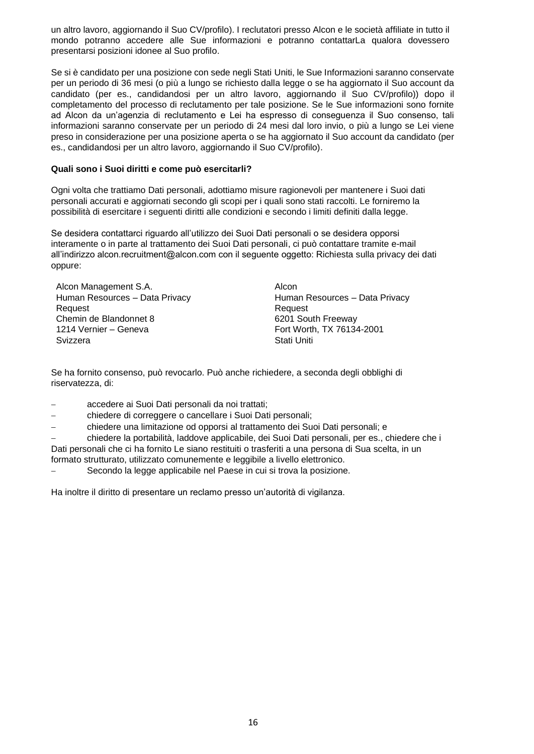un altro lavoro, aggiornando il Suo CV/profilo). I reclutatori presso Alcon e le società affiliate in tutto il mondo potranno accedere alle Sue informazioni e potranno contattarLa qualora dovessero presentarsi posizioni idonee al Suo profilo.

Se si è candidato per una posizione con sede negli Stati Uniti, le Sue Informazioni saranno conservate per un periodo di 36 mesi (o più a lungo se richiesto dalla legge o se ha aggiornato il Suo account da candidato (per es., candidandosi per un altro lavoro, aggiornando il Suo CV/profilo)) dopo il completamento del processo di reclutamento per tale posizione. Se le Sue informazioni sono fornite ad Alcon da un'agenzia di reclutamento e Lei ha espresso di conseguenza il Suo consenso, tali informazioni saranno conservate per un periodo di 24 mesi dal loro invio, o più a lungo se Lei viene preso in considerazione per una posizione aperta o se ha aggiornato il Suo account da candidato (per es., candidandosi per un altro lavoro, aggiornando il Suo CV/profilo).

#### **Quali sono i Suoi diritti e come può esercitarli?**

Ogni volta che trattiamo Dati personali, adottiamo misure ragionevoli per mantenere i Suoi dati personali accurati e aggiornati secondo gli scopi per i quali sono stati raccolti. Le forniremo la possibilità di esercitare i seguenti diritti alle condizioni e secondo i limiti definiti dalla legge.

Se desidera contattarci riguardo all'utilizzo dei Suoi Dati personali o se desidera opporsi interamente o in parte al trattamento dei Suoi Dati personali, [ci può contattare tramite e-mail](mailto:contact%20us%20via%20email%20at%20alcon.recruitment@alcon.com%20with%20%20subject%20line:%20%20Data%20Privacy%20Request%20or.)  [all'indirizzo alcon.recruitment@alcon.com con il seguente oggetto: Richiesta sulla privacy dei dati](mailto:contact%20us%20via%20email%20at%20alcon.recruitment@alcon.com%20with%20%20subject%20line:%20%20Data%20Privacy%20Request%20or.)  [oppure:](mailto:contact%20us%20via%20email%20at%20alcon.recruitment@alcon.com%20with%20%20subject%20line:%20%20Data%20Privacy%20Request%20or.)

Alcon Management S.A. Alcon Human Resources – Data Privacy Request Chemin de Blandonnet 8 6201 South Freeway 1214 Vernier – Geneva Fort Worth, TX 76134-2001 Svizzera **Stati Uniti** 

Human Resources – Data Privacy Request

Se ha fornito consenso, può revocarlo. Può anche richiedere, a seconda degli obblighi di riservatezza, di:

- − accedere ai Suoi Dati personali da noi trattati;
- − chiedere di correggere o cancellare i Suoi Dati personali;
- − chiedere una limitazione od opporsi al trattamento dei Suoi Dati personali; e

− chiedere la portabilità, laddove applicabile, dei Suoi Dati personali, per es., chiedere che i Dati personali che ci ha fornito Le siano restituiti o trasferiti a una persona di Sua scelta, in un formato strutturato, utilizzato comunemente e leggibile a livello elettronico.

Secondo la legge applicabile nel Paese in cui si trova la posizione.

Ha inoltre il diritto di presentare un reclamo presso un'autorità di vigilanza.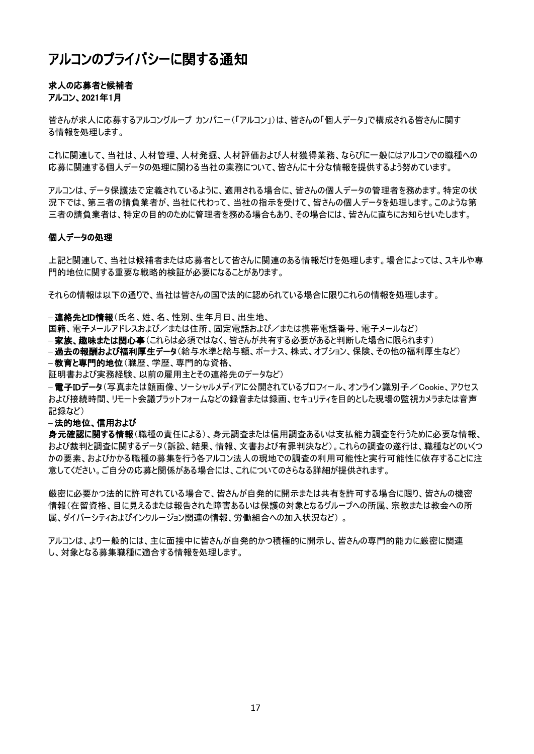## <span id="page-16-0"></span>アルコンのプライバシーに関する通知

#### 求人の応募者と候補者 アルコン、2021年1月

[皆さんが求人に応募するアルコングループ](https://www.novartis.com/about-us/contact/office-locations) [カンパニー\(「アルコン」\)は](https://www.novartis.com/about-us/contact/office-locations)、皆さんの「個人データ」で構成される皆さんに関す る情報を処理します。

これに関連して、当社は、人材管理、人材発掘、人材評価および人材獲得業務、ならびに一般にはアルコンでの職種への 応募に関連する個人データの処理に関わる当社の業務について、皆さんに十分な情報を提供するよう努めています。

アルコンは、データ保護法で定義されているように、適用される場合に、皆さんの個人データの管理者を務めます。特定の状 況下では、第三者の請負業者が、当社に代わって、当社の指示を受けて、皆さんの個人データを処理します。このような第 三者の請負業者は、特定の目的のために管理者を務める場合もあり、その場合には、皆さんに直ちにお知らせいたします。

#### 個人データの処理

上記と関連して、当社は候補者または応募者として皆さんに関連のある情報だけを処理します。場合によっては、スキルや専 門的地位に関する重要な戦略的検証が必要になることがあります。

それらの情報は以下の通りで、当社は皆さんの国で法的に認められている場合に限りこれらの情報を処理します。

− 連絡先とID情報(氏名、姓、名、性別、生年月日、出生地、

国籍、電子メールアドレスおよび/または住所、固定電話および/または携帯電話番号、電子メールなど)

− **家族、趣味または関心事**(これらは必須ではなく、皆さんが共有する必要があると判断した場合に限られます)

− 過去の報酬および福利厚生データ(給与水準と給与額、ボーナス、株式、オプション、保険、その他の福利厚生など) **- 教育と専門的地位**(職歴、学歴、専門的な資格、

証明書および実務経験、以前の雇用主とその連絡先のデータなど)

−**電子IDデータ**(写真または顔画像、ソーシャルメディアに公開されているプロフィール、オンライン識別子/Cookie、アクセス および接続時間、リモート会議プラットフォームなどの録音または録画、セキュリティを目的とした現場の監視カメラまたは音声 記録など)

#### − 法的地位、信用および

身元確認に関する情報(職種の責任による)、身元調査または信用調査あるいは支払能力調査を行うために必要な情報、 および裁判と調査に関するデータ(訴訟、結果、情報、文書および有罪判決など)。これらの調査の遂行は、職種などのいくつ かの要素、およびかかる職種の募集を行う各アルコン法人の現地での調査の利用可能性と実行可能性に依存することに注 意してください。ご自分の応募と関係がある場合には、これについてのさらなる詳細が提供されます。

厳密に必要かつ法的に許可されている場合で、皆さんが自発的に開示または共有を許可する場合に限り、皆さんの機密 情報(在留資格、目に見えるまたは報告された障害あるいは保護の対象となるグループへの所属、宗教または教会への所 属、ダイバーシティおよびインクルージョン関連の情報、労働組合への加入状況など) 。

アルコンは、より一般的には、主に面接中に皆さんが自発的かつ積極的に開示し、皆さんの専門的能力に厳密に関連 し、対象となる募集職種に適合する情報を処理します。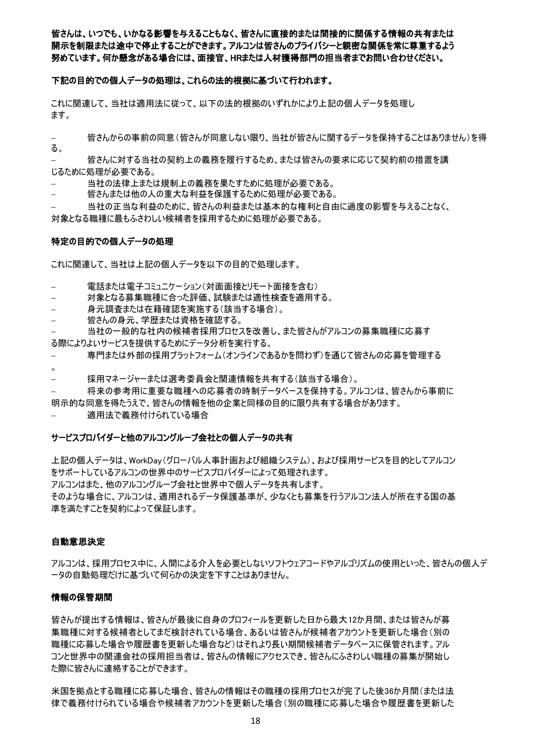皆さんは、いつでも、いかなる影響を与えることもなく、皆さんに直接的または間接的に関係する情報の共有または 開示を制限または途中で停止することができます。アルコンは皆さんのプライバシーと親密な関係を常に尊重するよう 努めています。何か懸念がある場合には、面接官、HRまたは人材獲得部門の担当者までお問い合わせください。

#### 下記の目的での個人データの処理は、これらの法的根拠に基づいて行われます。

これに関連して、当社は適用法に従って、以下の法的根拠のいずれかにより上記の個人データを処理し ます。

− 皆さんからの事前の同意(皆さんが同意しない限り、当社が皆さんに関するデータを保持することはありません)を得 る。

− 皆さんに対する当社の契約上の義務を履行するため、または皆さんの要求に応じて契約前の措置を講 じるために処理が必要である。

- − 当社の法律上または規制上の義務を果たすために処理が必要である。
- − 皆さんまたは他の人の重大な利益を保護するために処理が必要である。

− 当社の正当な利益のために、皆さんの利益または基本的な権利と自由に過度の影響を与えることなく、 対象となる職種に最もふさわしい候補者を採用するために処理が必要である。

#### 特定の目的での個人データの処理

これに関連して、当社は上記の個人データを以下の目的で処理します。

雷話または電子コミュニケーション(対面面接とリモート面接を含む)

- − 対象となる募集職種に合った評価、試験または適性検査を適用する。
- − 身元調査または在籍確認を実施する(該当する場合)。
- − 皆さんの身元、学歴または資格を確認する。

当社の一般的な社内の候補者採用プロセスを改善し、また皆さんがアルコンの募集職種に応募す

- る際によりよいサービスを提供するためにデータ分析を実行する。
- − 専門または外部の採用プラットフォーム(オンラインであるかを問わず)を通じて皆さんの応募を管理する
- 。
- − 採用マネージャーまたは選考委員会と関連情報を共有する(該当する場合)。

将来の参考用に重要な職種への応募者の時制データベースを保持する。アルコンは、皆さんから事前に 明示的な同意を得たうえで、皆さんの情報を他の企業と同様の目的に限り共有する場合があります。

適用法で義務付けられている場合

#### サービスプロバイダーと他のアルコングループ会社との個人データの共有

上記の個人データは、WorkDay(グローバル人事計画および組織システム)、および採用サービスを目的としてアルコン をサポートしているアルコンの世界中のサービスプロバイダーによって処理されます。 アルコンはまた、他のアルコングループ会社と世界中で個人データを共有します。 そのような場合に、アルコンは、適用されるデータ保護基準が、少なくとも募集を行うアルコン法人が所在する国の基 準を満たすことを契約によって保証します。

#### 自動意思決定

アルコンは、採用プロセス中に、人間による介入を必要としないソフトウェアコードやアルゴリズムの使用といった、皆さんの個人デ ータの自動処理だけに基づいて何らかの決定を下すことはありません。

#### 情報の保管期間

皆さんが提出する情報は、皆さんが最後に自身のプロフィールを更新した日から最大12か月間、または皆さんが募 集職種に対する候補者としてまだ検討されている場合、あるいは皆さんが候補者アカウントを更新した場合(別の 職種に応募した場合や履歴書を更新した場合など)はそれより長い期間候補者データベースに保管されます。アル コンと世界中の関連会社の採用担当者は、皆さんの情報にアクセスでき、皆さんにふさわしい職種の募集が開始し た際に皆さんに連絡することができます。

米国を拠点とする職種に応募した場合、皆さんの情報はその職種の採用プロセスが完了した後36か月間(または法 律で義務付けられている場合や候補者アカウントを更新した場合(別の職種に応募した場合や履歴書を更新した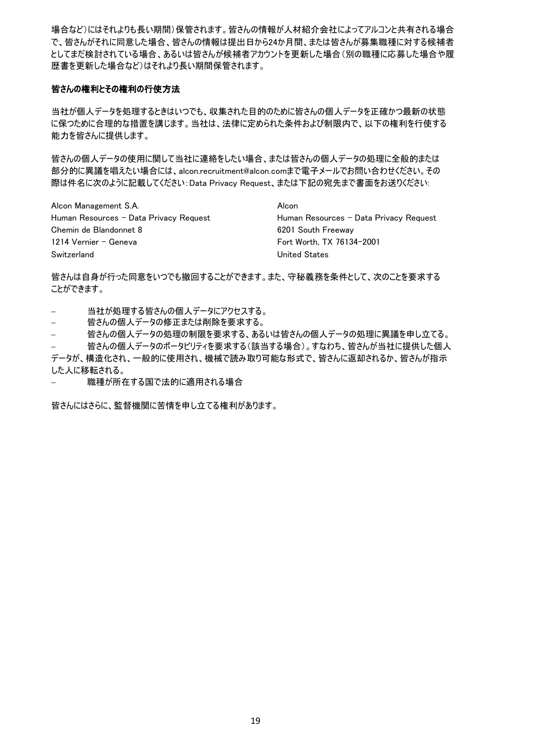場合など)にはそれよりも長い期間)保管されます。皆さんの情報が人材紹介会社によってアルコンと共有される場合 で、皆さんがそれに同意した場合、皆さんの情報は提出日から24か月間、または皆さんが募集職種に対する候補者 としてまだ検討されている場合、あるいは皆さんが候補者アカウントを更新した場合(別の職種に応募した場合や履 歴書を更新した場合など)はそれより長い期間保管されます。

#### 皆さんの権利とその権利の行使方法

当社が個人データを処理するときはいつでも、収集された目的のために皆さんの個人データを正確かつ最新の状態 に保つために合理的な措置を講じます。当社は、法律に定められた条件および制限内で、以下の権利を行使する 能力を皆さんに提供します。

皆さんの個人データの使用に関して当社に連絡をしたい場合、または皆さんの個人データの処理に全般的または 部分的に異議を唱えたい場合には、alcon.recruitment@alcon.com[まで電子メールでお問い合わせください。その](mailto:contact%20us%20via%20email%20at%20alcon.recruitment@alcon.com%20with%20%20subject%20line:%20%20Data%20Privacy%20Request%20or.) 際は件名に次のように記載してください:Data Privacy Request[、または下記の宛先まで書面をお送りください](mailto:contact%20us%20via%20email%20at%20alcon.recruitment@alcon.com%20with%20%20subject%20line:%20%20Data%20Privacy%20Request%20or.):

Alcon Management S.A. Alcon Human Resources – Data Privacy Request **Human Resources – Data Privacy Request** Chemin de Blandonnet 8 6201 South Freeway 1214 Vernier – Geneva Fort Worth, TX 76134-2001 Switzerland United States

皆さんは自身が行った同意をいつでも撤回することができます。また、守秘義務を条件として、次のことを要求する ことができます。

− 当社が処理する皆さんの個人データにアクセスする。

- − 皆さんの個人データの修正または削除を要求する。
- − 皆さんの個人データの処理の制限を要求する、あるいは皆さんの個人データの処理に異議を申し立てる。

皆さんの個人データのポータビリティを要求する(該当する場合)。すなわち、皆さんが当社に提供した個人

データが、構造化され、一般的に使用され、機械で読み取り可能な形式で、皆さんに返却されるか、皆さんが指示 した人に移転される。

職種が所在する国で法的に適用される場合

皆さんにはさらに、監督機関に苦情を申し立てる権利があります。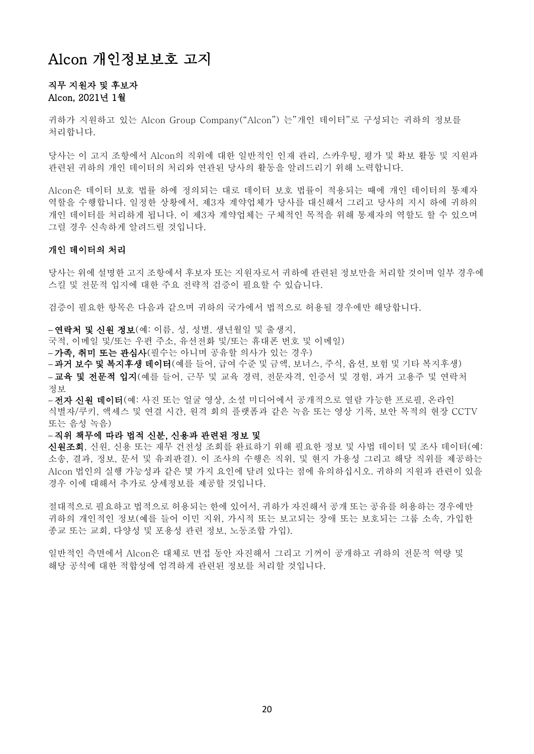## <span id="page-19-0"></span>Alcon 개인정보보호 고지

#### 직무 지원자 및 후보자 Alcon, 2021년 1월

귀하가 지원하고 있는 [Alcon Group](https://www.novartis.com/about-us/contact/office-locations) [Company\("Alcon"\) 는](https://www.novartis.com/about-us/contact/office-locations)"개인 데이터"로 구성되는 귀하의 정보를 처리합니다.

당사는 이 고지 조항에서 Alcon의 직위에 대한 일반적인 인재 관리, 스카우팅, 평가 및 확보 활동 및 지원과 관련된 귀하의 개인 데이터의 처리와 연관된 당사의 활동을 알려드리기 위해 노력합니다.

Alcon은 데이터 보호 법률 하에 정의되는 대로 데이터 보호 법률이 적용되는 때에 개인 데이터의 통제자 역할을 수행합니다. 일정한 상황에서, 제3자 계약업체가 당사를 대신해서 그리고 당사의 지시 하에 귀하의 개인 데이터를 처리하게 됩니다. 이 제3자 계약업체는 구체적인 목적을 위해 통제자의 역할도 할 수 있으며 그럴 경우 신속하게 알려드릴 것입니다.

#### 개인 데이터의 처리

당사는 위에 설명한 고지 조항에서 후보자 또는 지원자로서 귀하에 관련된 정보만을 처리할 것이며 일부 경우에 스킬 및 전문적 입지에 대한 주요 전략적 검증이 필요할 수 있습니다.

검증이 필요한 항목은 다음과 같으며 귀하의 국가에서 법적으로 허용될 경우에만 해당합니다.

− 연락처 및 신원 정보(예: 이름, 성, 성별, 생년월일 및 출생지,

국적, 이메일 및/또는 우편 주소, 유선전화 및/또는 휴대폰 번호 및 이메일)

− 가족, 취미 또는 관심사(필수는 아니며 공유할 의사가 있는 경우)

− 과거 보수 및 복지후생 데이터(예를 들어, 급여 수준 및 금액, 보너스, 주식, 옵션, 보험 및 기타 복지후생) − **교육 및 전문적 입지**(예를 들어, 근무 및 교육 경력, 전문자격, 인증서 및 경험, 과거 고용주 및 연락처 정보

− 전자 신원 데이터(예: 사진 또는 얼굴 영상, 소셜 미디어에서 공개적으로 열람 가능한 프로필, 온라인 식별자/쿠키, 액세스 및 연결 시간, 원격 회의 플랫폼과 같은 녹음 또는 영상 기록, 보안 목적의 현장 CCTV 또는 음성 녹음)

#### − 직위 책무에 따라 법적 신분, 신용과 관련된 정보 및

신원조회, 신원, 신용 또는 재무 건전성 조회를 완료하기 위해 필요한 정보 및 사법 데이터 및 조사 데이터(예: 소송, 결과, 정보, 문서 및 유죄판결). 이 조사의 수행은 직위, 및 현지 가용성 그리고 해당 직위를 제공하는 Alcon 법인의 실행 가능성과 같은 몇 가지 요인에 달려 있다는 점에 유의하십시오. 귀하의 지원과 관련이 있을 경우 이에 대해서 추가로 상세정보를 제공할 것입니다.

절대적으로 필요하고 법적으로 허용되는 한에 있어서, 귀하가 자진해서 공개 또는 공유를 허용하는 경우에만 귀하의 개인적인 정보(예를 들어 이민 지위, 가시적 또는 보고되는 장애 또는 보호되는 그룹 소속, 가입한 종교 또는 교회, 다양성 및 포용성 관련 정보, 노동조합 가입).

일반적인 측면에서 Alcon은 대체로 면접 동안 자진해서 그리고 기꺼이 공개하고 귀하의 전문적 역량 및 해당 공석에 대한 적합성에 엄격하게 관련된 정보를 처리할 것입니다.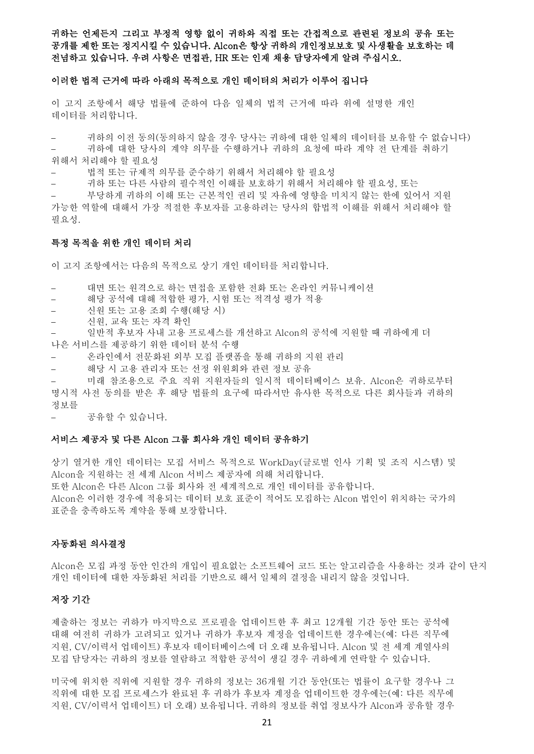#### 귀하는 언제든지 그리고 부정적 영향 없이 귀하와 직접 또는 간접적으로 관련된 정보의 공유 또는 공개를 제한 또는 정지시킬 수 있습니다. Alcon은 항상 귀하의 개인정보보호 및 사생활을 보호하는 데 전념하고 있습니다. 우려 사항은 면접관, HR 또는 인재 채용 담당자에게 알려 주십시오.

#### 이러한 법적 근거에 따라 아래의 목적으로 개인 데이터의 처리가 이루어 집니다

이 고지 조항에서 해당 법률에 준하여 다음 일체의 법적 근거에 따라 위에 설명한 개인 데이터를 처리합니다.

− 귀하의 이전 동의(동의하지 않을 경우 당사는 귀하에 대한 일체의 데이터를 보유할 수 없습니다)

− 귀하에 대한 당사의 계약 의무를 수행하거나 귀하의 요청에 따라 계약 전 단계를 취하기 위해서 처리해야 할 필요성

− 법적 또는 규제적 의무를 준수하기 위해서 처리해야 할 필요성

− 귀하 또는 다른 사람의 필수적인 이해를 보호하기 위해서 처리해야 할 필요성, 또는

− 부당하게 귀하의 이해 또는 근본적인 권리 및 자유에 영향을 미치지 않는 한에 있어서 지원 가능한 역할에 대해서 가장 적절한 후보자를 고용하려는 당사의 합법적 이해를 위해서 처리해야 할 필요성.

#### 특정 목적을 위한 개인 데이터 처리

이 고지 조항에서는 다음의 목적으로 상기 개인 데이터를 처리합니다.

− 대면 또는 원격으로 하는 면접을 포함한 전화 또는 온라인 커뮤니케이션

- − 해당 공석에 대해 적합한 평가, 시험 또는 적격성 평가 적용
- − 신원 또는 고용 조회 수행(해당 시)
- − 신원, 교육 또는 자격 확인
- 일반적 후보자 사내 고용 프로세스를 개선하고 Alcon의 공석에 지원할 때 귀하에게 더 나은 서비스를 제공하기 위한 데이터 분석 수행
- − 온라인에서 전문화된 외부 모집 플랫폼을 통해 귀하의 지원 관리
- − 해당 시 고용 관리자 또는 선정 위원회와 관련 정보 공유

□래 참조용으로 주요 직위 지원자들의 일시적 데이터베이스 보유. Alcon은 귀하로부터 명시적 사전 동의를 받은 후 해당 법률의 요구에 따라서만 유사한 목적으로 다른 회사들과 귀하의 정보를

− 공유할 수 있습니다.

#### 서비스 제공자 및 다른 Alcon 그룹 회사와 개인 데이터 공유하기

상기 열거한 개인 데이터는 모집 서비스 목적으로 WorkDay(글로벌 인사 기획 및 조직 시스템) 및 Alcon을 지원하는 전 세계 Alcon 서비스 제공자에 의해 처리합니다. 또한 Alcon은 다른 Alcon 그룹 회사와 전 세계적으로 개인 데이터를 공유합니다. Alcon은 이러한 경우에 적용되는 데이터 보호 표준이 적어도 모집하는 Alcon 법인이 위치하는 국가의 표준을 충족하도록 계약을 통해 보장합니다.

#### 자동화된 의사결정

Alcon은 모집 과정 동안 인간의 개입이 필요없는 소프트웨어 코드 또는 알고리즘을 사용하는 것과 같이 단지 개인 데이터에 대한 자동화된 처리를 기반으로 해서 일체의 결정을 내리지 않을 것입니다.

#### 저장 기간

제출하는 정보는 귀하가 마지막으로 프로필을 업데이트한 후 최고 12개월 기간 동안 또는 공석에 대해 여전히 귀하가 고려되고 있거나 귀하가 후보자 계정을 업데이트한 경우에는(예: 다른 직무에 지원, CV/이력서 업데이트) 후보자 데이터베이스에 더 오래 보유됩니다. Alcon 및 전 세계 계열사의 모집 담당자는 귀하의 정보를 열람하고 적합한 공석이 생길 경우 귀하에게 연락할 수 있습니다.

미국에 위치한 직위에 지원할 경우 귀하의 정보는 36개월 기간 동안(또는 법률이 요구할 경우나 그 직위에 대한 모집 프로세스가 완료된 후 귀하가 후보자 계정을 업데이트한 경우에는(예: 다른 직무에 지원, CV/이력서 업데이트) 더 오래) 보유됩니다. 귀하의 정보를 취업 정보사가 Alcon과 공유할 경우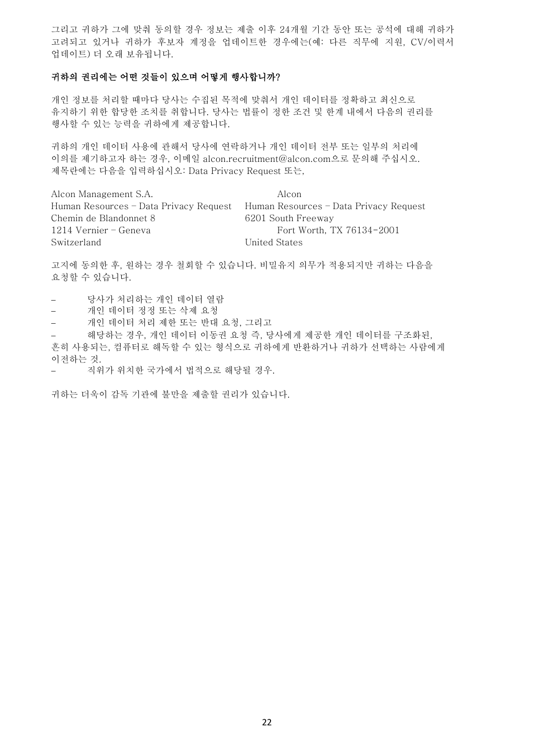그리고 귀하가 그에 맞춰 동의할 경우 정보는 제출 이후 24개월 기간 동안 또는 공석에 대해 귀하가 고려되고 있거나 귀하가 후보자 계정을 업데이트한 경우에는(예: 다른 직무에 지원, CV/이력서 업데이트) 더 오래 보유됩니다.

#### 귀하의 권리에는 어떤 것들이 있으며 어떻게 행사합니까?

개인 정보를 처리할 때마다 당사는 수집된 목적에 맞춰서 개인 데이터를 정확하고 최신으로 유지하기 위한 합당한 조치를 취합니다. 당사는 법률이 정한 조건 및 한계 내에서 다음의 권리를 행사할 수 있는 능력을 귀하에게 제공합니다.

귀하의 개인 데이터 사용에 관해서 당사에 연락하거나 개인 데이터 전부 또는 일부의 처리에 이의를 제기하고자 하는 경우, 이메일 [alcon.recruitment@alcon.com](mailto:contact%20us%20via%20email%20at%20alcon.recruitment@alcon.com%20with%20%20subject%20line:%20%20Data%20Privacy%20Request%20or.)으로 문의해 주십시오. 제목란에는 다음을 입력하십시오[: Data Privacy Request](mailto:contact%20us%20via%20email%20at%20alcon.recruitment@alcon.com%20with%20%20subject%20line:%20%20Data%20Privacy%20Request%20or.) 또는,

Alcon Management S.A. Alcon Human Resources – Data Privacy Request Human Resources – Data Privacy Request Chemin de Blandonnet 8 6201 South Freeway 1214 Vernier – Geneva Fort Worth, TX 76134-2001 Switzerland United States

고지에 동의한 후, 원하는 경우 철회할 수 있습니다. 비밀유지 의무가 적용되지만 귀하는 다음을 요청할 수 있습니다.

- − 당사가 처리하는 개인 데이터 열람
- − 개인 데이터 정정 또는 삭제 요청
- − 개인 데이터 처리 제한 또는 반대 요청, 그리고

− 해당하는 경우, 개인 데이터 이동권 요청 즉, 당사에게 제공한 개인 데이터를 구조화된, 흔히 사용되는, 컴퓨터로 해독할 수 있는 형식으로 귀하에게 반환하거나 귀하가 선택하는 사람에게 이전하는 것.

− 직위가 위치한 국가에서 법적으로 해당될 경우.

귀하는 더욱이 감독 기관에 불만을 제출할 권리가 있습니다.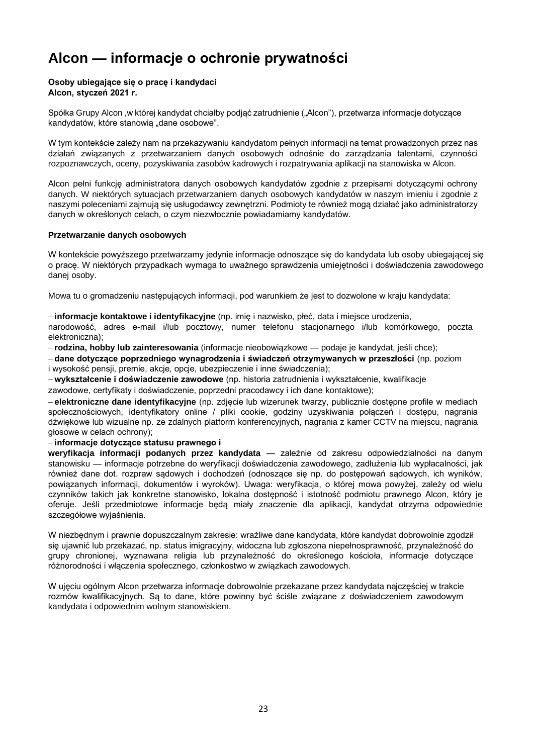# <span id="page-22-0"></span>**Alcon — informacje o ochronie prywatności**

#### **Osoby ubiegające się o pracę i kandydaci Alcon, styczeń 2021 r.**

Spółk[a Grupy Alcon](https://www.novartis.com/about-us/contact/office-locations) [,w której kandydat chciałby podjąć zatrudnienie \("Alcon"\), p](https://www.novartis.com/about-us/contact/office-locations)rzetwarza informacje dotyczące kandydatów, które stanowia "dane osobowe".

W tym kontekście zależy nam na przekazywaniu kandydatom pełnych informacji na temat prowadzonych przez nas działań związanych z przetwarzaniem danych osobowych odnośnie do zarządzania talentami, czynności rozpoznawczych, oceny, pozyskiwania zasobów kadrowych i rozpatrywania aplikacji na stanowiska w Alcon.

Alcon pełni funkcję administratora danych osobowych kandydatów zgodnie z przepisami dotyczącymi ochrony danych. W niektórych sytuacjach przetwarzaniem danych osobowych kandydatów w naszym imieniu i zgodnie z naszymi poleceniami zajmują się usługodawcy zewnętrzni. Podmioty te również mogą działać jako administratorzy danych w określonych celach, o czym niezwłocznie powiadamiamy kandydatów.

#### **Przetwarzanie danych osobowych**

W kontekście powyższego przetwarzamy jedynie informacje odnoszące się do kandydata lub osoby ubiegającej się o pracę. W niektórych przypadkach wymaga to uważnego sprawdzenia umiejętności i doświadczenia zawodowego danej osoby.

Mowa tu o gromadzeniu następujących informacji, pod warunkiem że jest to dozwolone w kraju kandydata:

− **informacje kontaktowe i identyfikacyjne** (np. imię i nazwisko, płeć, data i miejsce urodzenia,

narodowość, adres e-mail i/lub pocztowy, numer telefonu stacjonarnego i/lub komórkowego, poczta elektroniczna);

− **rodzina, hobby lub zainteresowania** (informacje nieobowiązkowe — podaje je kandydat, jeśli chce);

− **dane dotyczące poprzedniego wynagrodzenia i świadczeń otrzymywanych w przeszłości** (np. poziom i wysokość pensji, premie, akcje, opcje, ubezpieczenie i inne świadczenia);

− **wykształcenie i doświadczenie zawodowe** (np. historia zatrudnienia i wykształcenie, kwalifikacje

zawodowe, certyfikaty i doświadczenie, poprzedni pracodawcy i ich dane kontaktowe);

− **elektroniczne dane identyfikacyjne** (np. zdjęcie lub wizerunek twarzy, publicznie dostępne profile w mediach społecznościowych, identyfikatory online / pliki cookie, godziny uzyskiwania połączeń i dostępu, nagrania dźwiękowe lub wizualne np. ze zdalnych platform konferencyjnych, nagrania z kamer CCTV na miejscu, nagrania głosowe w celach ochrony);

#### − **informacje dotyczące statusu prawnego i**

**weryfikacja informacji podanych przez kandydata** — zależnie od zakresu odpowiedzialności na danym stanowisku — informacje potrzebne do weryfikacji doświadczenia zawodowego, zadłużenia lub wypłacalności, jak również dane dot. rozpraw sądowych i dochodzeń (odnoszące się np. do postępowań sądowych, ich wyników, powiązanych informacji, dokumentów i wyroków). Uwaga: weryfikacja, o której mowa powyżej, zależy od wielu czynników takich jak konkretne stanowisko, lokalna dostępność i istotność podmiotu prawnego Alcon, który je oferuje. Jeśli przedmiotowe informacje będą miały znaczenie dla aplikacji, kandydat otrzyma odpowiednie szczegółowe wyjaśnienia.

W niezbędnym i prawnie dopuszczalnym zakresie: wrażliwe dane kandydata, które kandydat dobrowolnie zgodził się ujawnić lub przekazać, np. status imigracyjny, widoczna lub zgłoszona niepełnosprawność, przynależność do grupy chronionej, wyznawana religia lub przynależność do określonego kościoła, informacje dotyczące różnorodności i włączenia społecznego, członkostwo w związkach zawodowych.

W ujęciu ogólnym Alcon przetwarza informacje dobrowolnie przekazane przez kandydata najczęściej w trakcie rozmów kwalifikacyjnych. Są to dane, które powinny być ściśle związane z doświadczeniem zawodowym kandydata i odpowiednim wolnym stanowiskiem.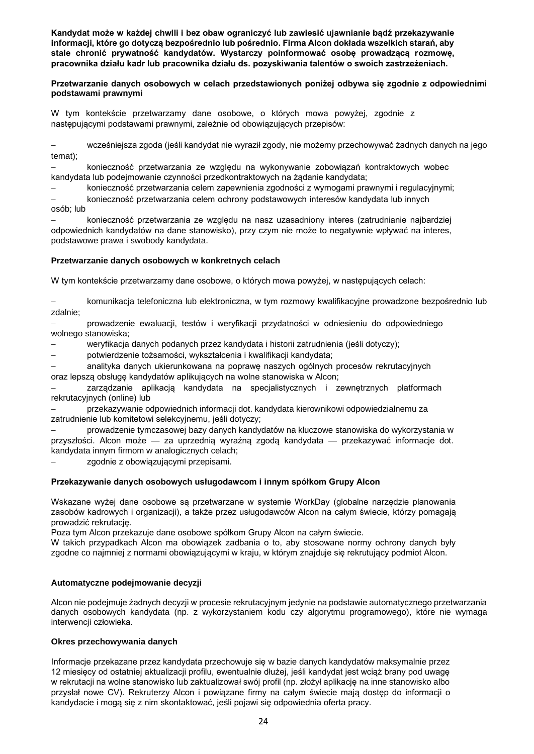**Kandydat może w każdej chwili i bez obaw ograniczyć lub zawiesić ujawnianie bądź przekazywanie informacji, które go dotyczą bezpośrednio lub pośrednio. Firma Alcon dokłada wszelkich starań, aby stale chronić prywatność kandydatów. Wystarczy poinformować osobę prowadzącą rozmowę, pracownika działu kadr lub pracownika działu ds. pozyskiwania talentów o swoich zastrzeżeniach.**

#### **Przetwarzanie danych osobowych w celach przedstawionych poniżej odbywa się zgodnie z odpowiednimi podstawami prawnymi**

W tym kontekście przetwarzamy dane osobowe, o których mowa powyżej, zgodnie z następującymi podstawami prawnymi, zależnie od obowiązujących przepisów:

− wcześniejsza zgoda (jeśli kandydat nie wyraził zgody, nie możemy przechowywać żadnych danych na jego temat);

− konieczność przetwarzania ze względu na wykonywanie zobowiązań kontraktowych wobec kandydata lub podejmowanie czynności przedkontraktowych na żądanie kandydata;

− konieczność przetwarzania celem zapewnienia zgodności z wymogami prawnymi i regulacyjnymi;

− konieczność przetwarzania celem ochrony podstawowych interesów kandydata lub innych osób; lub

− konieczność przetwarzania ze względu na nasz uzasadniony interes (zatrudnianie najbardziej odpowiednich kandydatów na dane stanowisko), przy czym nie może to negatywnie wpływać na interes, podstawowe prawa i swobody kandydata.

#### **Przetwarzanie danych osobowych w konkretnych celach**

W tym kontekście przetwarzamy dane osobowe, o których mowa powyżej, w następujących celach:

− komunikacja telefoniczna lub elektroniczna, w tym rozmowy kwalifikacyjne prowadzone bezpośrednio lub zdalnie;

− prowadzenie ewaluacji, testów i weryfikacji przydatności w odniesieniu do odpowiedniego wolnego stanowiska;

− weryfikacja danych podanych przez kandydata i historii zatrudnienia (jeśli dotyczy);

− potwierdzenie tożsamości, wykształcenia i kwalifikacji kandydata;

− analityka danych ukierunkowana na poprawę naszych ogólnych procesów rekrutacyjnych

oraz lepszą obsługę kandydatów aplikujących na wolne stanowiska w Alcon;

zarządzanie aplikacją kandydata na specjalistycznych i zewnętrznych platformach rekrutacyjnych (online) lub

− przekazywanie odpowiednich informacji dot. kandydata kierownikowi odpowiedzialnemu za zatrudnienie lub komitetowi selekcyjnemu, jeśli dotyczy;

− prowadzenie tymczasowej bazy danych kandydatów na kluczowe stanowiska do wykorzystania w przyszłości. Alcon może — za uprzednią wyraźną zgodą kandydata — przekazywać informacje dot. kandydata innym firmom w analogicznych celach;

zgodnie z obowiązującymi przepisami.

#### **Przekazywanie danych osobowych usługodawcom i innym spółkom Grupy Alcon**

Wskazane wyżej dane osobowe są przetwarzane w systemie WorkDay (globalne narzędzie planowania zasobów kadrowych i organizacji), a także przez usługodawców Alcon na całym świecie, którzy pomagają prowadzić rekrutację.

Poza tym Alcon przekazuje dane osobowe spółkom Grupy Alcon na całym świecie.

W takich przypadkach Alcon ma obowiązek zadbania o to, aby stosowane normy ochrony danych były zgodne co najmniej z normami obowiązującymi w kraju, w którym znajduje się rekrutujący podmiot Alcon.

#### **Automatyczne podejmowanie decyzji**

Alcon nie podejmuje żadnych decyzji w procesie rekrutacyjnym jedynie na podstawie automatycznego przetwarzania danych osobowych kandydata (np. z wykorzystaniem kodu czy algorytmu programowego), które nie wymaga interwencji człowieka.

#### **Okres przechowywania danych**

Informacje przekazane przez kandydata przechowuje się w bazie danych kandydatów maksymalnie przez 12 miesięcy od ostatniej aktualizacji profilu, ewentualnie dłużej, jeśli kandydat jest wciąż brany pod uwagę w rekrutacji na wolne stanowisko lub zaktualizował swój profil (np. złożył aplikację na inne stanowisko albo przysłał nowe CV). Rekruterzy Alcon i powiązane firmy na całym świecie mają dostęp do informacji o kandydacie i mogą się z nim skontaktować, jeśli pojawi się odpowiednia oferta pracy.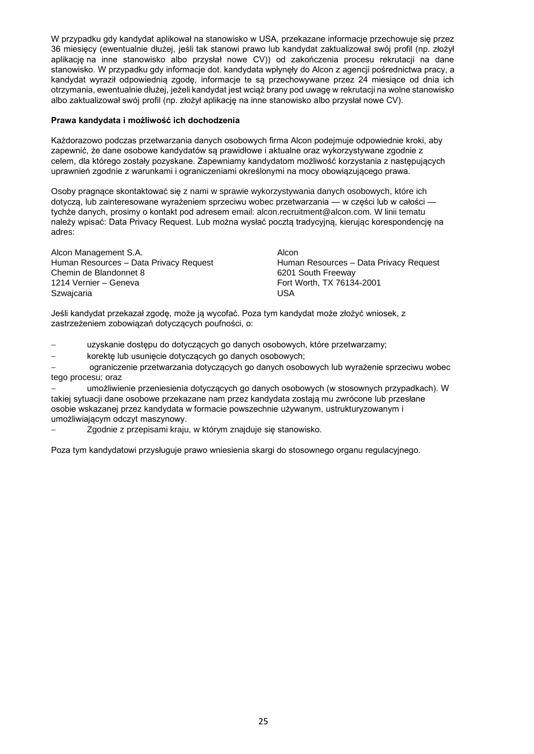W przypadku gdy kandydat aplikował na stanowisko w USA, przekazane informacje przechowuje się przez 36 miesięcy (ewentualnie dłużej, jeśli tak stanowi prawo lub kandydat zaktualizował swój profil (np. złożył aplikację na inne stanowisko albo przysłał nowe CV)) od zakończenia procesu rekrutacji na dane stanowisko. W przypadku gdy informacje dot. kandydata wpłynęły do Alcon z agencji pośrednictwa pracy, a kandydat wyraził odpowiednią zgodę, informacje te są przechowywane przez 24 miesiące od dnia ich otrzymania, ewentualnie dłużej, jeżeli kandydat jest wciąż brany pod uwagę w rekrutacji na wolne stanowisko albo zaktualizował swój profil (np. złożył aplikację na inne stanowisko albo przysłał nowe CV).

#### **Prawa kandydata i możliwość ich dochodzenia**

Każdorazowo podczas przetwarzania danych osobowych firma Alcon podejmuje odpowiednie kroki, aby zapewnić, że dane osobowe kandydatów są prawidłowe i aktualne oraz wykorzystywane zgodnie z celem, dla którego zostały pozyskane. Zapewniamy kandydatom możliwość korzystania z następujących uprawnień zgodnie z warunkami i ograniczeniami określonymi na mocy obowiązującego prawa.

Osoby pragnące skontaktować się z nami w sprawie wykorzystywania danych osobowych, które ich dotyczą, lub zainteresowane wyrażeniem sprzeciwu wobec przetwarzania — w części lub w całości tychże danych, prosimy o kontakt pod adresem [email: alcon.recruitment@alcon.com. W linii tematu](mailto:contact%20us%20via%20email%20at%20alcon.recruitment@alcon.com%20with%20%20subject%20line:%20%20Data%20Privacy%20Request%20or.)  [należy wpisać: Data Privacy Request. Lub można wysłać pocztą tradycyjną, kierując korespondencję na](mailto:contact%20us%20via%20email%20at%20alcon.recruitment@alcon.com%20with%20%20subject%20line:%20%20Data%20Privacy%20Request%20or.)  [adres:](mailto:contact%20us%20via%20email%20at%20alcon.recruitment@alcon.com%20with%20%20subject%20line:%20%20Data%20Privacy%20Request%20or.)

Alcon Management S.A. Alcon Chemin de Blandonnet 8 6201 South Freeway 1214 Vernier – Geneva Fort Worth, TX 76134-2001 Szwajcaria USA

Human Resources – Data Privacy Request Human Resources – Data Privacy Request

Jeśli kandydat przekazał zgodę, może ją wycofać. Poza tym kandydat może złożyć wniosek, z zastrzeżeniem zobowiązań dotyczących poufności, o:

− uzyskanie dostępu do dotyczących go danych osobowych, które przetwarzamy;

− korektę lub usunięcie dotyczących go danych osobowych;

− ograniczenie przetwarzania dotyczących go danych osobowych lub wyrażenie sprzeciwu wobec tego procesu; oraz

− umożliwienie przeniesienia dotyczących go danych osobowych (w stosownych przypadkach). W takiej sytuacji dane osobowe przekazane nam przez kandydata zostają mu zwrócone lub przesłane osobie wskazanej przez kandydata w formacie powszechnie używanym, ustrukturyzowanym i umożliwiającym odczyt maszynowy.

− Zgodnie z przepisami kraju, w którym znajduje się stanowisko.

Poza tym kandydatowi przysługuje prawo wniesienia skargi do stosownego organu regulacyjnego.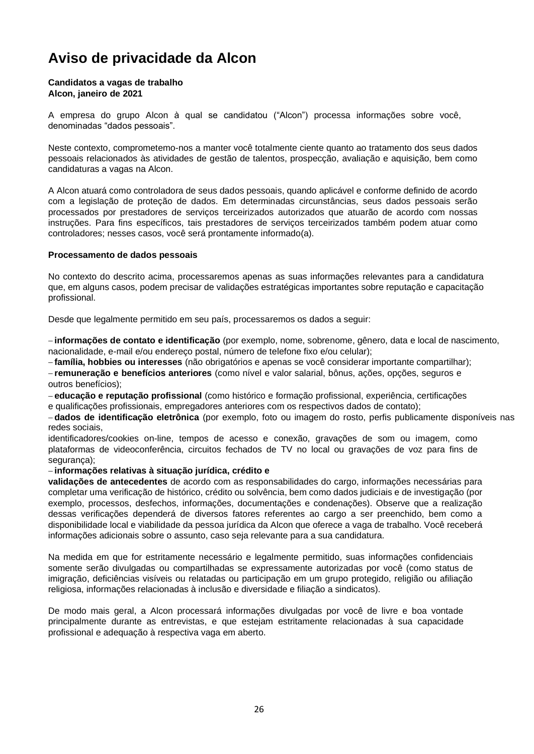## <span id="page-25-0"></span>**Aviso de privacidade da Alcon**

#### **Candidatos a vagas de trabalho Alcon, janeiro de 2021**

[A empresa do grupo Alcon](https://www.novartis.com/about-us/contact/office-locations) [à qual se candidatou \("Alcon"\) p](https://www.novartis.com/about-us/contact/office-locations)rocessa informações sobre você, denominadas "dados pessoais".

Neste contexto, comprometemo-nos a manter você totalmente ciente quanto ao tratamento dos seus dados pessoais relacionados às atividades de gestão de talentos, prospecção, avaliação e aquisição, bem como candidaturas a vagas na Alcon.

A Alcon atuará como controladora de seus dados pessoais, quando aplicável e conforme definido de acordo com a legislação de proteção de dados. Em determinadas circunstâncias, seus dados pessoais serão processados por prestadores de serviços terceirizados autorizados que atuarão de acordo com nossas instruções. Para fins específicos, tais prestadores de serviços terceirizados também podem atuar como controladores; nesses casos, você será prontamente informado(a).

#### **Processamento de dados pessoais**

No contexto do descrito acima, processaremos apenas as suas informações relevantes para a candidatura que, em alguns casos, podem precisar de validações estratégicas importantes sobre reputação e capacitação profissional.

Desde que legalmente permitido em seu país, processaremos os dados a seguir:

− **informações de contato e identificação** (por exemplo, nome, sobrenome, gênero, data e local de nascimento, nacionalidade, e-mail e/ou endereço postal, número de telefone fixo e/ou celular);

− **família, hobbies ou interesses** (não obrigatórios e apenas se você considerar importante compartilhar);

− **remuneração e benefícios anteriores** (como nível e valor salarial, bônus, ações, opções, seguros e outros benefícios);

− **educação e reputação profissional** (como histórico e formação profissional, experiência, certificações e qualificações profissionais, empregadores anteriores com os respectivos dados de contato);

− **dados de identificação eletrônica** (por exemplo, foto ou imagem do rosto, perfis publicamente disponíveis nas redes sociais,

identificadores/cookies on-line, tempos de acesso e conexão, gravações de som ou imagem, como plataformas de videoconferência, circuitos fechados de TV no local ou gravações de voz para fins de segurança);

#### − **informações relativas à situação jurídica, crédito e**

**validações de antecedentes** de acordo com as responsabilidades do cargo, informações necessárias para completar uma verificação de histórico, crédito ou solvência, bem como dados judiciais e de investigação (por exemplo, processos, desfechos, informações, documentações e condenações). Observe que a realização dessas verificações dependerá de diversos fatores referentes ao cargo a ser preenchido, bem como a disponibilidade local e viabilidade da pessoa jurídica da Alcon que oferece a vaga de trabalho. Você receberá informações adicionais sobre o assunto, caso seja relevante para a sua candidatura.

Na medida em que for estritamente necessário e legalmente permitido, suas informações confidenciais somente serão divulgadas ou compartilhadas se expressamente autorizadas por você (como status de imigração, deficiências visíveis ou relatadas ou participação em um grupo protegido, religião ou afiliação religiosa, informações relacionadas à inclusão e diversidade e filiação a sindicatos).

De modo mais geral, a Alcon processará informações divulgadas por você de livre e boa vontade principalmente durante as entrevistas, e que estejam estritamente relacionadas à sua capacidade profissional e adequação à respectiva vaga em aberto.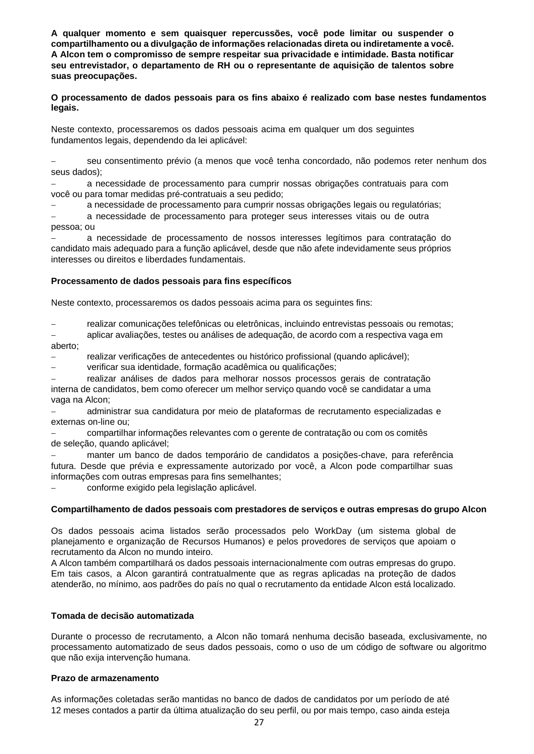**A qualquer momento e sem quaisquer repercussões, você pode limitar ou suspender o compartilhamento ou a divulgação de informações relacionadas direta ou indiretamente a você. A Alcon tem o compromisso de sempre respeitar sua privacidade e intimidade. Basta notificar seu entrevistador, o departamento de RH ou o representante de aquisição de talentos sobre suas preocupações.**

**O processamento de dados pessoais para os fins abaixo é realizado com base nestes fundamentos legais.**

Neste contexto, processaremos os dados pessoais acima em qualquer um dos seguintes fundamentos legais, dependendo da lei aplicável:

seu consentimento prévio (a menos que você tenha concordado, não podemos reter nenhum dos seus dados);

− a necessidade de processamento para cumprir nossas obrigações contratuais para com você ou para tomar medidas pré-contratuais a seu pedido;

− a necessidade de processamento para cumprir nossas obrigações legais ou regulatórias;

a necessidade de processamento para proteger seus interesses vitais ou de outra pessoa; ou

− a necessidade de processamento de nossos interesses legítimos para contratação do candidato mais adequado para a função aplicável, desde que não afete indevidamente seus próprios interesses ou direitos e liberdades fundamentais.

#### **Processamento de dados pessoais para fins específicos**

Neste contexto, processaremos os dados pessoais acima para os seguintes fins:

− realizar comunicações telefônicas ou eletrônicas, incluindo entrevistas pessoais ou remotas;

− aplicar avaliações, testes ou análises de adequação, de acordo com a respectiva vaga em aberto;

− realizar verificações de antecedentes ou histórico profissional (quando aplicável);

verificar sua identidade, formação acadêmica ou qualificações;

realizar análises de dados para melhorar nossos processos gerais de contratação interna de candidatos, bem como oferecer um melhor serviço quando você se candidatar a uma vaga na Alcon;

− administrar sua candidatura por meio de plataformas de recrutamento especializadas e externas on-line ou;

− compartilhar informações relevantes com o gerente de contratação ou com os comitês de seleção, quando aplicável;

manter um banco de dados temporário de candidatos a posições-chave, para referência futura. Desde que prévia e expressamente autorizado por você, a Alcon pode compartilhar suas informações com outras empresas para fins semelhantes;

− conforme exigido pela legislação aplicável.

#### **Compartilhamento de dados pessoais com prestadores de serviços e outras empresas do grupo Alcon**

Os dados pessoais acima listados serão processados pelo WorkDay (um sistema global de planejamento e organização de Recursos Humanos) e pelos provedores de serviços que apoiam o recrutamento da Alcon no mundo inteiro.

A Alcon também compartilhará os dados pessoais internacionalmente com outras empresas do grupo. Em tais casos, a Alcon garantirá contratualmente que as regras aplicadas na proteção de dados atenderão, no mínimo, aos padrões do país no qual o recrutamento da entidade Alcon está localizado.

#### **Tomada de decisão automatizada**

Durante o processo de recrutamento, a Alcon não tomará nenhuma decisão baseada, exclusivamente, no processamento automatizado de seus dados pessoais, como o uso de um código de software ou algoritmo que não exija intervenção humana.

#### **Prazo de armazenamento**

As informações coletadas serão mantidas no banco de dados de candidatos por um período de até 12 meses contados a partir da última atualização do seu perfil, ou por mais tempo, caso ainda esteja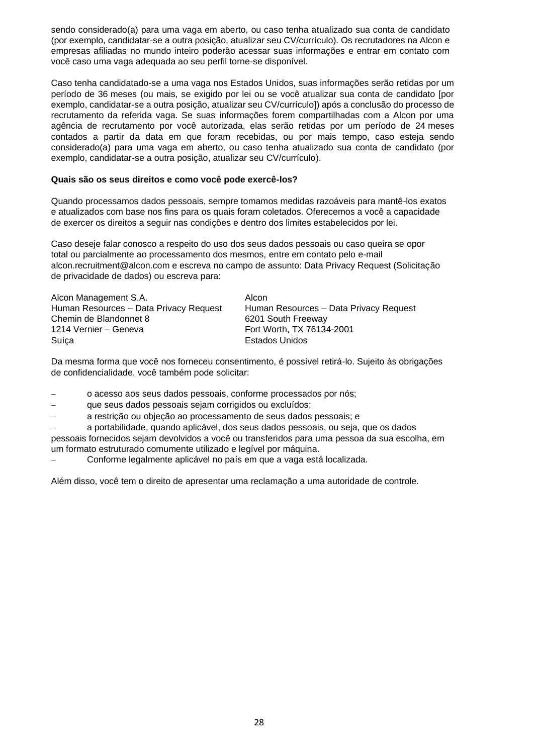sendo considerado(a) para uma vaga em aberto, ou caso tenha atualizado sua conta de candidato (por exemplo, candidatar-se a outra posição, atualizar seu CV/currículo). Os recrutadores na Alcon e empresas afiliadas no mundo inteiro poderão acessar suas informações e entrar em contato com você caso uma vaga adequada ao seu perfil torne-se disponível.

Caso tenha candidatado-se a uma vaga nos Estados Unidos, suas informações serão retidas por um período de 36 meses (ou mais, se exigido por lei ou se você atualizar sua conta de candidato [por exemplo, candidatar-se a outra posição, atualizar seu CV/currículo]) após a conclusão do processo de recrutamento da referida vaga. Se suas informações forem compartilhadas com a Alcon por uma agência de recrutamento por você autorizada, elas serão retidas por um período de 24 meses contados a partir da data em que foram recebidas, ou por mais tempo, caso esteja sendo considerado(a) para uma vaga em aberto, ou caso tenha atualizado sua conta de candidato (por exemplo, candidatar-se a outra posição, atualizar seu CV/currículo).

#### **Quais são os seus direitos e como você pode exercê-los?**

Quando processamos dados pessoais, sempre tomamos medidas razoáveis para mantê-los exatos e atualizados com base nos fins para os quais foram coletados. Oferecemos a você a capacidade de exercer os direitos a seguir nas condições e dentro dos limites estabelecidos por lei.

Caso deseje falar conosco a respeito do uso dos seus dados pessoais ou caso queira se opor total ou parcialmente ao processamento dos mesmos, [entre em contato pelo e-mail](mailto:contact%20us%20via%20email%20at%20alcon.recruitment@alcon.com%20with%20%20subject%20line:%20%20Data%20Privacy%20Request%20or.)  [alcon.recruitment@alcon.com e escreva no campo de assunto: Data Privacy Request \(Solicitação](mailto:contact%20us%20via%20email%20at%20alcon.recruitment@alcon.com%20with%20%20subject%20line:%20%20Data%20Privacy%20Request%20or.)  [de privacidade de dados\) ou escreva para:](mailto:contact%20us%20via%20email%20at%20alcon.recruitment@alcon.com%20with%20%20subject%20line:%20%20Data%20Privacy%20Request%20or.)

| Alcon Management S.A.                  | Alcon                                  |
|----------------------------------------|----------------------------------------|
| Human Resources - Data Privacy Request | Human Resources - Data Privacy Request |
| Chemin de Blandonnet 8                 | 6201 South Freeway                     |
| 1214 Vernier – Geneva                  | Fort Worth, TX 76134-2001              |
| Suíca                                  | <b>Estados Unidos</b>                  |

Da mesma forma que você nos forneceu consentimento, é possível retirá-lo. Sujeito às obrigações de confidencialidade, você também pode solicitar:

- − o acesso aos seus dados pessoais, conforme processados por nós;
- − que seus dados pessoais sejam corrigidos ou excluídos;
- a restrição ou objeção ao processamento de seus dados pessoais; e

− a portabilidade, quando aplicável, dos seus dados pessoais, ou seja, que os dados pessoais fornecidos sejam devolvidos a você ou transferidos para uma pessoa da sua escolha, em um formato estruturado comumente utilizado e legível por máquina.

− Conforme legalmente aplicável no país em que a vaga está localizada.

Além disso, você tem o direito de apresentar uma reclamação a uma autoridade de controle.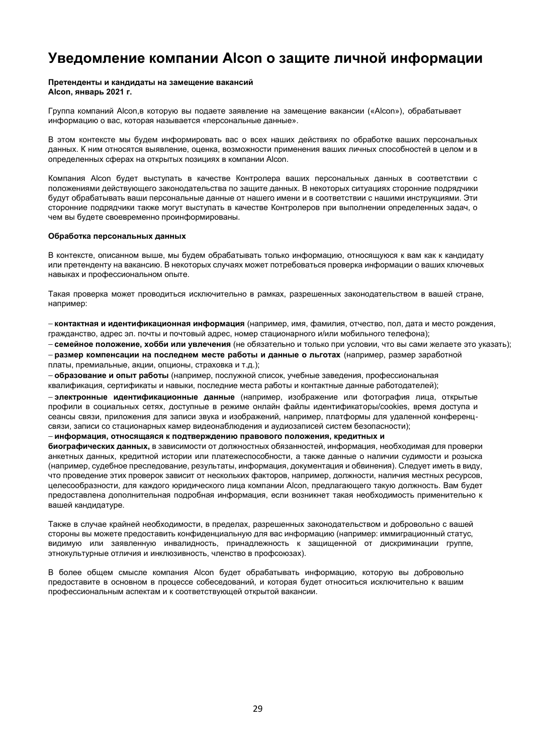## <span id="page-28-0"></span>**Уведомление компании Alcon о защите личной информации**

## **Претенденты и кандидаты на замещение вакансий**

**Alcon, январь 2021 г.**

[Группа компаний Alcon,в которую вы подаете заявление на замещение вакансии \(«Alcon»\), о](https://www.novartis.com/about-us/contact/office-locations)брабатывает информацию о вас, которая называется «персональные данные».

В этом контексте мы будем информировать вас о всех наших действиях по обработке ваших персональных данных. К ним относятся выявление, оценка, возможности применения ваших личных способностей в целом и в определенных сферах на открытых позициях в компании Alcon.

Компания Alcon будет выступать в качестве Контролера ваших персональных данных в соответствии с положениями действующего законодательства по защите данных. В некоторых ситуациях сторонние подрядчики будут обрабатывать ваши персональные данные от нашего имени и в соответствии с нашими инструкциями. Эти сторонние подрядчики также могут выступать в качестве Контролеров при выполнении определенных задач, о чем вы будете своевременно проинформированы.

#### **Обработка персональных данных**

В контексте, описанном выше, мы будем обрабатывать только информацию, относящуюся к вам как к кандидату или претенденту на вакансию. В некоторых случаях может потребоваться проверка информации о ваших ключевых навыках и профессиональном опыте.

Такая проверка может проводиться исключительно в рамках, разрешенных законодательством в вашей стране, например:

− **контактная и идентификационная информация** (например, имя, фамилия, отчество, пол, дата и место рождения, гражданство, адрес эл. почты и почтовый адрес, номер стационарного и/или мобильного телефона);

− **семейное положение, хобби или увлечения** (не обязательно и только при условии, что вы сами желаете это указать);

− **размер компенсации на последнем месте работы и данные о льготах** (например, размер заработной платы, премиальные, акции, опционы, страховка и т.д.);

− **образование и опыт работы** (например, послужной список, учебные заведения, профессиональная квалификация, сертификаты и навыки, последние места работы и контактные данные работодателей);

− **электронные идентификационные данные** (например, изображение или фотография лица, открытые профили в социальных сетях, доступные в режиме онлайн файлы идентификаторы/cookies, время доступа и сеансы связи, приложения для записи звука и изображений, например, платформы для удаленной конференцсвязи, записи со стационарных камер видеонаблюдения и аудиозаписей систем безопасности);

#### − **информация, относящаяся к подтверждению правового положения, кредитных и**

**биографических данных,** в зависимости от должностных обязанностей, информация, необходимая для проверки анкетных данных, кредитной истории или платежеспособности, а также данные о наличии судимости и розыска (например, судебное преследование, результаты, информация, документация и обвинения). Следует иметь в виду, что проведение этих проверок зависит от нескольких факторов, например, должности, наличия местных ресурсов, целесообразности, для каждого юридического лица компании Alcon, предлагающего такую должность. Вам будет предоставлена дополнительная подробная информация, если возникнет такая необходимость применительно к вашей кандидатуре.

Также в случае крайней необходимости, в пределах, разрешенных законодательством и добровольно с вашей стороны вы можете предоставить конфиденциальную для вас информацию (например: иммиграционный статус, видимую или заявленную инвалидность, принадлежность к защищенной от дискриминации группе, этнокультурные отличия и инклюзивность, членство в профсоюзах).

В более общем смысле компания Alcon будет обрабатывать информацию, которую вы добровольно предоставите в основном в процессе собеседований, и которая будет относиться исключительно к вашим профессиональным аспектам и к соответствующей открытой вакансии.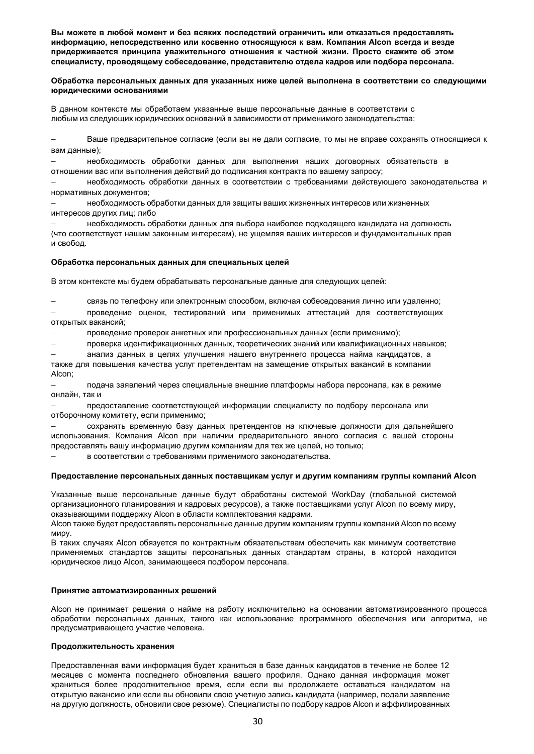**Вы можете в любой момент и без всяких последствий ограничить или отказаться предоставлять информацию, непосредственно или косвенно относящуюся к вам. Компания Alcon всегда и везде придерживается принципа уважительного отношения к частной жизни. Просто скажите об этом специалисту, проводящему собеседование, представителю отдела кадров или подбора персонала.**

#### **Обработка персональных данных для указанных ниже целей выполнена в соответствии со следующими юридическими основаниями**

В данном контексте мы обработаем указанные выше персональные данные в соответствии с любым из следующих юридических оснований в зависимости от применимого законодательства:

− Ваше предварительное согласие (если вы не дали согласие, то мы не вправе сохранять относящиеся к вам данные);

− необходимость обработки данных для выполнения наших договорных обязательств в отношении вас или выполнения действий до подписания контракта по вашему запросу;

− необходимость обработки данных в соответствии с требованиями действующего законодательства и нормативных документов;

− необходимость обработки данных для защиты ваших жизненных интересов или жизненных интересов других лиц; либо

− необходимость обработки данных для выбора наиболее подходящего кандидата на должность (что соответствует нашим законным интересам), не ущемляя ваших интересов и фундаментальных прав и свобод.

#### **Обработка персональных данных для специальных целей**

В этом контексте мы будем обрабатывать персональные данные для следующих целей:

− связь по телефону или электронным способом, включая собеседования лично или удаленно;

− проведение оценок, тестирований или применимых аттестаций для соответствующих открытых вакансий;

проведение проверок анкетных или профессиональных данных (если применимо);

− проверка идентификационных данных, теоретических знаний или квалификационных навыков;

− анализ данных в целях улучшения нашего внутреннего процесса найма кандидатов, а также для повышения качества услуг претендентам на замещение открытых вакансий в компании Alcon;

− подача заявлений через специальные внешние платформы набора персонала, как в режиме онлайн, так и

− предоставление соответствующей информации специалисту по подбору персонала или отборочному комитету, если применимо;

− сохранять временную базу данных претендентов на ключевые должности для дальнейшего использования. Компания Alcon при наличии предварительного явного согласия с вашей стороны предоставлять вашу информацию другим компаниям для тех же целей, но только;

− в соответствии с требованиями применимого законодательства.

#### **Предоставление персональных данных поставщикам услуг и другим компаниям группы компаний Alcon**

Указанные выше персональные данные будут обработаны системой WorkDay (глобальной системой организационного планирования и кадровых ресурсов), а также поставщиками услуг Alcon по всему миру, оказывающими поддержку Alcon в области комплектования кадрами.

Alcon также будет предоставлять персональные данные другим компаниям группы компаний Alcon по всему миру.

В таких случаях Alcon обязуется по контрактным обязательствам обеспечить как минимум соответствие применяемых стандартов защиты персональных данных стандартам страны, в которой находится юридическое лицо Alcon, занимающееся подбором персонала.

#### **Принятие автоматизированных решений**

Alcon не принимает решения о найме на работу исключительно на основании автоматизированного процесса обработки персональных данных, такого как использование программного обеспечения или алгоритма, не предусматривающего участие человека.

#### **Продолжительность хранения**

Предоставленная вами информация будет храниться в базе данных кандидатов в течение не более 12 месяцев с момента последнего обновления вашего профиля. Однако данная информация может храниться более продолжительное время, если если вы продолжаете оставаться кандидатом на открытую вакансию или если вы обновили свою учетную запись кандидата (например, подали заявление на другую должность, обновили свое резюме). Специалисты по подбору кадров Alcon и аффилированных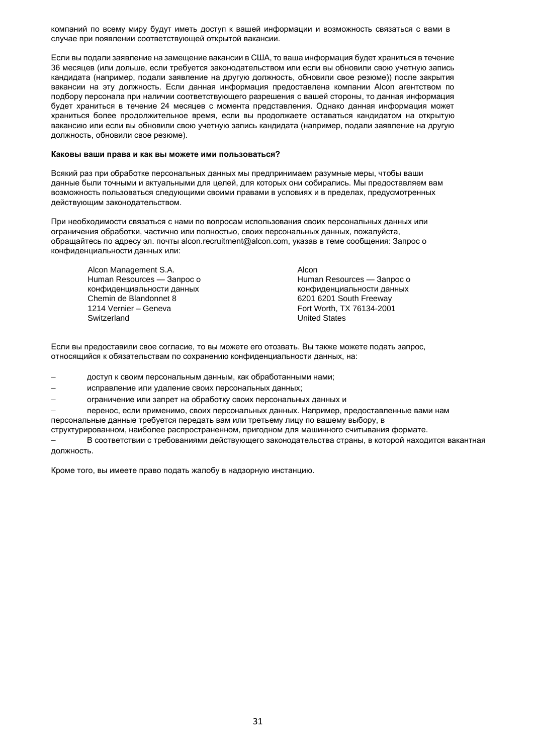компаний по всему миру будут иметь доступ к вашей информации и возможность связаться с вами в случае при появлении соответствующей открытой вакансии.

Если вы подали заявление на замещение вакансии в США, то ваша информация будет храниться в течение 36 месяцев (или дольше, если требуется законодательством или если вы обновили свою учетную запись кандидата (например, подали заявление на другую должность, обновили свое резюме)) после закрытия вакансии на эту должность. Если данная информация предоставлена компании Alcon агентством по подбору персонала при наличии соответствующего разрешения с вашей стороны, то данная информация будет храниться в течение 24 месяцев с момента представления. Однако данная информация может храниться более продолжительное время, если вы продолжаете оставаться кандидатом на открытую вакансию или если вы обновили свою учетную запись кандидата (например, подали заявление на другую должность, обновили свое резюме).

#### **Каковы ваши права и как вы можете ими пользоваться?**

Всякий раз при обработке персональных данных мы предпринимаем разумные меры, чтобы ваши данные были точными и актуальными для целей, для которых они собирались. Мы предоставляем вам возможность пользоваться следующими своими правами в условиях и в пределах, предусмотренных действующим законодательством.

При необходимости связаться с нами по вопросам использования своих персональных данных или ограничения обработки, частично или полностью, своих персональных данных, пожалуйста, [обращайтесь по адресу эл. почты alcon.recruitment@alcon.com, указав в теме сообщения: Запрос о](mailto:contact%20us%20via%20email%20at%20alcon.recruitment@alcon.com%20with%20%20subject%20line:%20%20Data%20Privacy%20Request%20or.)  [конфиденциальности данных или:](mailto:contact%20us%20via%20email%20at%20alcon.recruitment@alcon.com%20with%20%20subject%20line:%20%20Data%20Privacy%20Request%20or.)

Alcon Management S.A. Alcon Human Resources — Запрос о конфиденциальности данных Chemin de Blandonnet 8 6201 6201 6201 South Freeway<br>1214 Vernier – Geneva<br>1214 Vernier – Geneva 1214 Vernier – Geneva Fort Worth, TX 76134-2001<br>Switzerland Fort Worth, TX 76134-2001

Human Resources — Запрос о конфиденциальности данных **United States** 

Если вы предоставили свое согласие, то вы можете его отозвать. Вы также можете подать запрос, относящийся к обязательствам по сохранению конфиденциальности данных, на:

доступ к своим персональным данным, как обработанными нами;

- исправление или удаление своих персональных данных;
- − ограничение или запрет на обработку своих персональных данных и

перенос, если применимо, своих персональных данных. Например, предоставленные вами нам персональные данные требуется передать вам или третьему лицу по вашему выбору, в

структурированном, наиболее распространенном, пригодном для машинного считывания формате.

− В соответствии с требованиями действующего законодательства страны, в которой находится вакантная должность.

Кроме того, вы имеете право подать жалобу в надзорную инстанцию.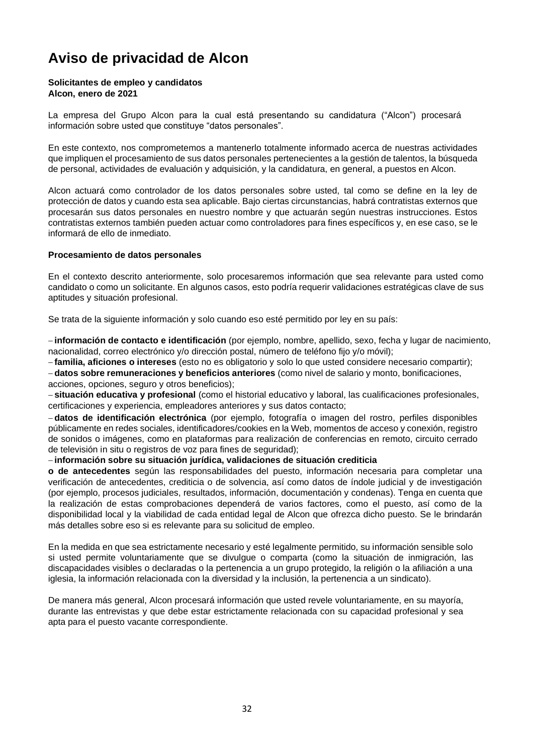# <span id="page-31-0"></span>**Aviso de privacidad de Alcon**

#### **Solicitantes de empleo y candidatos Alcon, enero de 2021**

[La empresa del Grupo Alcon](https://www.novartis.com/about-us/contact/office-locations) [para la cual está presentando su candidatura \("Alcon"\) p](https://www.novartis.com/about-us/contact/office-locations)rocesará información sobre usted que constituye "datos personales".

En este contexto, nos comprometemos a mantenerlo totalmente informado acerca de nuestras actividades que impliquen el procesamiento de sus datos personales pertenecientes a la gestión de talentos, la búsqueda de personal, actividades de evaluación y adquisición, y la candidatura, en general, a puestos en Alcon.

Alcon actuará como controlador de los datos personales sobre usted, tal como se define en la ley de protección de datos y cuando esta sea aplicable. Bajo ciertas circunstancias, habrá contratistas externos que procesarán sus datos personales en nuestro nombre y que actuarán según nuestras instrucciones. Estos contratistas externos también pueden actuar como controladores para fines específicos y, en ese caso, se le informará de ello de inmediato.

#### **Procesamiento de datos personales**

En el contexto descrito anteriormente, solo procesaremos información que sea relevante para usted como candidato o como un solicitante. En algunos casos, esto podría requerir validaciones estratégicas clave de sus aptitudes y situación profesional.

Se trata de la siguiente información y solo cuando eso esté permitido por ley en su país:

− **información de contacto e identificación** (por ejemplo, nombre, apellido, sexo, fecha y lugar de nacimiento, nacionalidad, correo electrónico y/o dirección postal, número de teléfono fijo y/o móvil);

− **familia, aficiones o intereses** (esto no es obligatorio y solo lo que usted considere necesario compartir);

− **datos sobre remuneraciones y beneficios anteriores** (como nivel de salario y monto, bonificaciones, acciones, opciones, seguro y otros beneficios);

− **situación educativa y profesional** (como el historial educativo y laboral, las cualificaciones profesionales, certificaciones y experiencia, empleadores anteriores y sus datos contacto;

− **datos de identificación electrónica** (por ejemplo, fotografía o imagen del rostro, perfiles disponibles públicamente en redes sociales, identificadores/cookies en la Web, momentos de acceso y conexión, registro de sonidos o imágenes, como en plataformas para realización de conferencias en remoto, circuito cerrado de televisión in situ o registros de voz para fines de seguridad);

− **información sobre su situación jurídica, validaciones de situación crediticia** 

**o de antecedentes** según las responsabilidades del puesto, información necesaria para completar una verificación de antecedentes, crediticia o de solvencia, así como datos de índole judicial y de investigación (por ejemplo, procesos judiciales, resultados, información, documentación y condenas). Tenga en cuenta que la realización de estas comprobaciones dependerá de varios factores, como el puesto, así como de la disponibilidad local y la viabilidad de cada entidad legal de Alcon que ofrezca dicho puesto. Se le brindarán más detalles sobre eso si es relevante para su solicitud de empleo.

En la medida en que sea estrictamente necesario y esté legalmente permitido, su información sensible solo si usted permite voluntariamente que se divulgue o comparta (como la situación de inmigración, las discapacidades visibles o declaradas o la pertenencia a un grupo protegido, la religión o la afiliación a una iglesia, la información relacionada con la diversidad y la inclusión, la pertenencia a un sindicato).

De manera más general, Alcon procesará información que usted revele voluntariamente, en su mayoría, durante las entrevistas y que debe estar estrictamente relacionada con su capacidad profesional y sea apta para el puesto vacante correspondiente.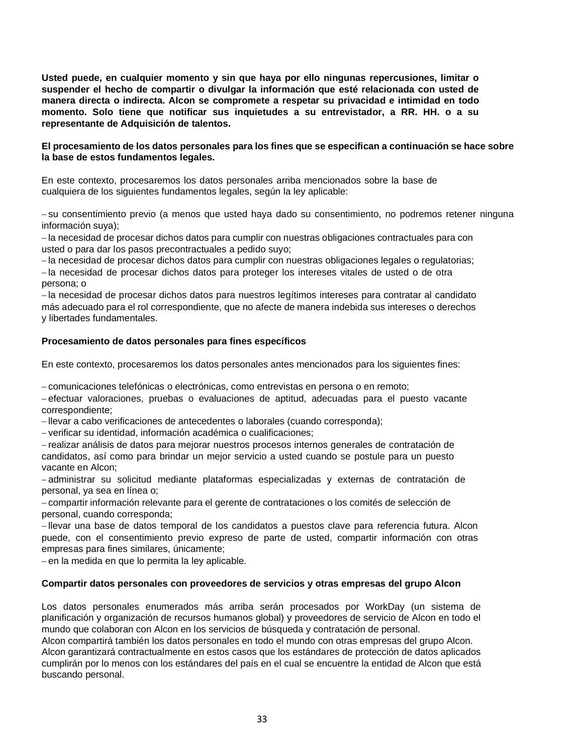**Usted puede, en cualquier momento y sin que haya por ello ningunas repercusiones, limitar o suspender el hecho de compartir o divulgar la información que esté relacionada con usted de manera directa o indirecta. Alcon se compromete a respetar su privacidad e intimidad en todo momento. Solo tiene que notificar sus inquietudes a su entrevistador, a RR. HH. o a su representante de Adquisición de talentos.**

#### **El procesamiento de los datos personales para los fines que se especifican a continuación se hace sobre la base de estos fundamentos legales.**

En este contexto, procesaremos los datos personales arriba mencionados sobre la base de cualquiera de los siguientes fundamentos legales, según la ley aplicable:

− su consentimiento previo (a menos que usted haya dado su consentimiento, no podremos retener ninguna información suya);

− la necesidad de procesar dichos datos para cumplir con nuestras obligaciones contractuales para con usted o para dar los pasos precontractuales a pedido suyo;

− la necesidad de procesar dichos datos para cumplir con nuestras obligaciones legales o regulatorias;

− la necesidad de procesar dichos datos para proteger los intereses vitales de usted o de otra persona; o

− la necesidad de procesar dichos datos para nuestros legítimos intereses para contratar al candidato más adecuado para el rol correspondiente, que no afecte de manera indebida sus intereses o derechos y libertades fundamentales.

#### **Procesamiento de datos personales para fines específicos**

En este contexto, procesaremos los datos personales antes mencionados para los siguientes fines:

− comunicaciones telefónicas o electrónicas, como entrevistas en persona o en remoto;

− efectuar valoraciones, pruebas o evaluaciones de aptitud, adecuadas para el puesto vacante correspondiente;

− llevar a cabo verificaciones de antecedentes o laborales (cuando corresponda);

− verificar su identidad, información académica o cualificaciones;

− realizar análisis de datos para mejorar nuestros procesos internos generales de contratación de candidatos, así como para brindar un mejor servicio a usted cuando se postule para un puesto vacante en Alcon;

− administrar su solicitud mediante plataformas especializadas y externas de contratación de personal, ya sea en línea o;

− compartir información relevante para el gerente de contrataciones o los comités de selección de personal, cuando corresponda;

− llevar una base de datos temporal de los candidatos a puestos clave para referencia futura. Alcon puede, con el consentimiento previo expreso de parte de usted, compartir información con otras empresas para fines similares, únicamente;

− en la medida en que lo permita la ley aplicable.

#### **Compartir datos personales con proveedores de servicios y otras empresas del grupo Alcon**

Los datos personales enumerados más arriba serán procesados por WorkDay (un sistema de planificación y organización de recursos humanos global) y proveedores de servicio de Alcon en todo el mundo que colaboran con Alcon en los servicios de búsqueda y contratación de personal.

Alcon compartirá también los datos personales en todo el mundo con otras empresas del grupo Alcon. Alcon garantizará contractualmente en estos casos que los estándares de protección de datos aplicados cumplirán por lo menos con los estándares del país en el cual se encuentre la entidad de Alcon que está buscando personal.